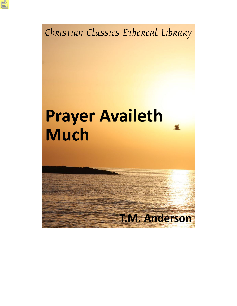Christian Classics Ethereal Library

# **Prayer Availeth Much**

**T.M. Anderson**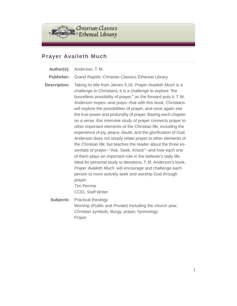

# **Prayer Availeth Much**

- **Author(s):** Anderson, T. M.
- **Publisher:** Grand Rapids: Christian Classics Ethereal Library
- **Description:** Taking its title from James 5:16, *Prayer Availeth Much* is a challenge to Christians; it is a challenge to explore "the boundless possibility of prayer," as the forward puts it. T. M. Anderson hopes--and prays--that with this book, Christians *will* explore the possibilities of prayer, and once again see the true power and profundity of prayer. Basing each chapter on a verse, this intensive study of prayer connects prayer to other important elements of the Christian life, including the experience of joy, peace, doubt, and the glorification of God. Anderson does not simply relate prayer to other elements of the Christian life, but teaches the reader about the three essentials of prayer--"Ask, Seek, Knock"--and how each one of them plays an important role in the believer's daily life. Ideal for personal study or devotions, T. M. Anderson's book, *Prayer Availeth Much*, will encourage and challenge each person to more actively seek and worship God through prayer. Tim Perrine CCEL Staff Writer
	- **Subjects:** Practical theology Worship (Public and Private) Including the church year, Christian symbols, liturgy, prayer, hymnology Prayer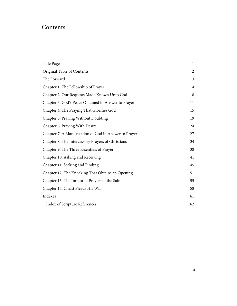# Contents

| Title Page                                            | $\mathbf{1}$   |
|-------------------------------------------------------|----------------|
| Original Table of Contents                            | $\overline{2}$ |
| The Forward                                           | 3              |
| Chapter 1. The Fellowship of Prayer                   | $\overline{4}$ |
| Chapter 2. Our Requests Made Known Unto God           | 8              |
| Chapter 3. God's Peace Obtained in Answer to Prayer   | 11             |
| Chapter 4. The Praying That Glorifies God             | 15             |
| Chapter 5. Praying Without Doubting                   | 19             |
| Chapter 6. Praying With Desire                        | 24             |
| Chapter 7. A Manifestation of God in Answer to Prayer | 27             |
| Chapter 8. The Intercessory Prayers of Christians     | 34             |
| Chapter 9. The Three Essentials of Prayer             | 38             |
| Chapter 10. Asking and Receiving                      | 41             |
| Chapter 11. Seeking and Finding                       | 45             |
| Chapter 12. The Knocking That Obtains an Opening      | 51             |
| Chapter 13. The Immortal Prayers of the Saints        | 55             |
| Chapter 14. Christ Pleads His Will                    | 58             |
| Indexes                                               | 61             |
| <b>Index of Scripture References</b>                  | 62             |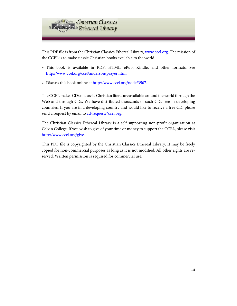

This PDF file is from the Christian Classics Ethereal Library, [www.ccel.org.](http://www.ccel.org) The mission of the CCEL is to make classic Christian books available to the world.

- This book is available in PDF, HTML, ePub, Kindle, and other formats. See <http://www.ccel.org/ccel/anderson/prayer.html>.
- Discuss this book online at [http://www.ccel.org/node/3507.](http://www.ccel.org/node/3507)

The CCEL makes CDs of classic Christian literature available around the world through the Web and through CDs. We have distributed thousands of such CDs free in developing countries. If you are in a developing country and would like to receive a free CD, please send a request by email to [cd-request@ccel.org.](mailto:cd-request@ccel.org)

The Christian Classics Ethereal Library is a self supporting non-profit organization at Calvin College. If you wish to give of your time or money to support the CCEL, please visit [http://www.ccel.org/give.](http://www.ccel.org/give)

This PDF file is copyrighted by the Christian Classics Ethereal Library. It may be freely copied for non-commercial purposes as long as it is not modified. All other rights are reserved. Written permission is required for commercial use.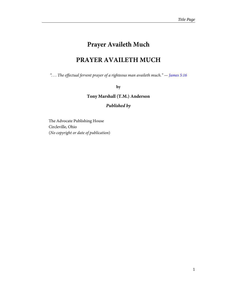# **Prayer Availeth Much**

# **PRAYER AVAILETH MUCH**

<span id="page-4-1"></span><span id="page-4-0"></span>"... The effectual fervent prayer of a righteous man availeth much."  $-$  [James 5:16](http://www.ccel.org/study/Bible:Jas.5.16)

#### **by**

**Tony Marshall (T.M.) Anderson**

# *Published by*

The Advocate Publishing House Circleville, Ohio (No copyright or date of publication)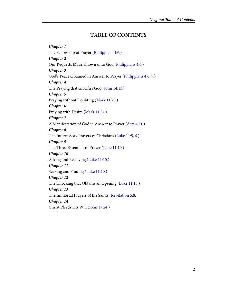# **TABLE OF CONTENTS**

<span id="page-5-14"></span><span id="page-5-13"></span><span id="page-5-12"></span><span id="page-5-11"></span><span id="page-5-10"></span><span id="page-5-9"></span><span id="page-5-8"></span><span id="page-5-7"></span><span id="page-5-6"></span><span id="page-5-5"></span><span id="page-5-4"></span><span id="page-5-3"></span><span id="page-5-2"></span><span id="page-5-1"></span><span id="page-5-0"></span>*Chapter 1* The Fellowship of Prayer ([Philippians 4:6](http://www.ccel.org/study/Bible:Phil.4.6).) *Chapter 2* Our Requests Made Known unto God ([Philippians 4:6.](http://www.ccel.org/study/Bible:Phil.4.6)) *Chapter 3* God's Peace Obtained in Answer to Prayer [\(Philippians 4:6, 7](http://www.ccel.org/study/Bible:Phil.4.6 Bible:Phil.4.7).) *Chapter 4* The Praying that Glorifies God ([John 14:13](http://www.ccel.org/study/Bible:John.14.13).) *Chapter 5* Praying without Doubting ([Mark 11:23.](http://www.ccel.org/study/Bible:Mark.11.23)) *Chapter 6* Praying with Desire ([Mark 11:24](http://www.ccel.org/study/Bible:Mark.11.24).) *Chapter 7* A Manifestation of God in Answer to Prayer ([Acts 4:31](http://www.ccel.org/study/Bible:Acts.4.31).) *Chapter 8* The Intercessory Prayers of Christians ([Luke 11:5, 6.](http://www.ccel.org/study/Bible:Luke.11.5 Bible:Luke.11.6)) *Chapter 9* The Three Essentials of Prayer [\(Luke 11:10](http://www.ccel.org/study/Bible:Luke.11.10).) *Chapter 10* Asking and Receiving [\(Luke 11:10](http://www.ccel.org/study/Bible:Luke.11.10).) *Chapter 11* Seeking and Finding ([Luke 11:10.](http://www.ccel.org/study/Bible:Luke.11.10)) *Chapter 12* The Knocking that Obtains an Opening [\(Luke 11:10](http://www.ccel.org/study/Bible:Luke.11.10).) *Chapter 13* The Immortal Prayers of the Saints ([Revelation 5:8](http://www.ccel.org/study/Bible:Rev.5.8).) *Chapter 14* Christ Pleads His Will [\(John 17:24.](http://www.ccel.org/study/Bible:John.17.24))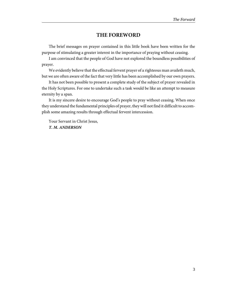# **THE FOREWORD**

<span id="page-6-0"></span>The brief messages on prayer contained in this little book have been written for the purpose of stimulating a greater interest in the importance of praying without ceasing.

I am convinced that the people of God have not explored the boundless possibilities of prayer.

We evidently believe that the effectual fervent prayer of a righteous man availeth much, but we are often aware of the fact that very little has been accomplished by our own prayers.

It has not been possible to present a complete study of the subject of prayer revealed in the Holy Scriptures. For one to undertake such a task would be like an attempt to measure eternity by a span.

It is my sincere desire to encourage God's people to pray without ceasing. When once they understand the fundamental principles of prayer, they will not find it difficult to accomplish some amazing results through effectual fervent intercession.

Your Servant in Christ Jesus, *T. M. ANDERSON*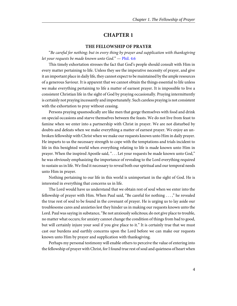#### **THE FELLOWSHIP OF PRAYER**

<span id="page-7-1"></span><span id="page-7-0"></span>"Be careful for nothing; but in every thing by prayer and supplication with thanksgiving let your requests be made known unto God."  $-$  [Phil. 4:6](http://www.ccel.org/study/Bible:Phil.4.6)

This timely exhortation stresses the fact that God's people should consult with Him in every matter pertaining to life. Unless they see the imperative necessity of prayer, and give it an important place in daily life, they cannot expect to be maintained by the ample resources of a generous Saviour. It is apparent that we cannot obtain the things essential to life unless we make everything pertaining to life a matter of earnest prayer. It is impossible to live a consistent Christian life in the sight of God by praying occasionally. Praying intermittently is certainly not praying incessantly and importunately. Such careless praying is not consistent with the exhortation to pray without ceasing.

Persons praying spasmodically are like men that gorge themselves with food and drink on special occasions and starve themselves between the feasts. We do not live from feast to famine when we enter into a partnership with Christ in prayer. We are not disturbed by doubts and defeats when we make everything a matter of earnest prayer. We enjoy an unbroken fellowship with Christ when we make our requests known unto Him in daily prayer. He imparts to us the necessary strength to cope with the temptations and trials incident to life in this benighted world when everything relating to life is made known unto Him in prayer. When the inspired Apostle said, ". . . Let your requests be made known unto God," he was obviously emphasizing the importance of revealing to the Lord everything required to sustain us in life. We find it necessary to reveal both our spiritual and our temporal needs unto Him in prayer.

Nothing pertaining to our life in this world is unimportant in the sight of God. He is interested in everything that concerns us in life.

The Lord would have us understand that we obtain rest of soul when we enter into the fellowship of prayer with Him. When Paul said, "Be careful for nothing . . . ," he revealed the true rest of soul to be found in the covenant of prayer. He is urging us to lay aside our troublesome cares and anxieties lest they hinder us in making our requests known unto the Lord. Paul was saying in substance, "Be not anxiously solicitous; do not give place to trouble, no matter what occurs; for anxiety cannot change the condition of things from bad to good, but will certainly injure your soul if you give place to it." It is certainly true that we must cast our burdens and earthly concerns upon the Lord before we can make our requests known unto Him by prayer and supplication with thanksgiving.

Perhaps my personal testimony will enable others to perceive the value of entering into the fellowship of prayer with Christ, for I found true rest of soul and quietness of heart when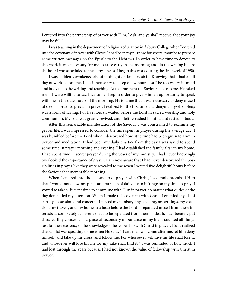I entered into the partnership of prayer with Him. "Ask, and ye shall receive, that your joy may be full."

I was teaching in the department of religious education in Asbury College when I entered into the covenant of prayer with Christ. It had been my purpose for several months to prepare some written messages on the Epistle to the Hebrews. In order to have time to devote to this work it was necessary for me to arise early in the morning and do the writing before the hour I was scheduled to meet my classes. I began this work during the first week of 1950.

I was suddenly awakened about midnight on January sixth. Knowing that I had a full day of work before me, I felt it necessary to sleep a few hours lest I be too weary in mind and body to do the writing and teaching. At that moment the Saviour spoke to me. He asked me if I were willing to sacrifice some sleep in order to give Him an opportunity to speak with me in the quiet hours of the morning. He told me that it was necessary to deny myself of sleep in order to prevail in prayer. I realized for the first time that denying myself of sleep was a form of fasting. For five hours I waited before the Lord in sacred worship and holy communion. My soul was greatly revived, and I felt refreshed in mind and rested in body.

After this remarkable manifestation of the Saviour I was constrained to examine my prayer life. I was impressed to consider the time spent in prayer during the average day. I was humbled before the Lord when I discovered how little time had been given to Him in prayer and meditation. It had been my daily practice from the day I was saved to spend some time in prayer morning and evening. I had established the family altar in my home. I had spent time in secret prayer during the years of my ministry. I had never knowingly overlooked the importance of prayer. I am now aware that I had never discovered the possibilities in prayer like they were revealed to me when I waited five delightful hours before the Saviour that memorable morning.

When I entered into the fellowship of prayer with Christ, I solemnly promised Him that I would not allow my plans and pursuits of daily life to infringe on my time to pray. I vowed to take sufficient time to commune with Him in prayer no matter what duties of the day demanded my attention. When I made this covenant with Christ I emptied myself of earthly possessions and concerns. I placed my ministry, my teaching, my writings, my vocation, my travels, and my home in a heap before the Lord. I separated myself from these interests as completely as I ever expect to be separated from them in death. I deliberately put these earthly concerns in a place of secondary importance in my life. I counted all things loss for the excellency of the knowledge of the fellowship with Christ in prayer. I fully realized that Christ was speaking to me when He said, "If any man will come after me, let him deny himself, and take up his cross, and follow me. For whosoever will save his life shall lose it: and whosoever will lose his life for my sake shall find it." I was reminded of how much I had lost through the years because I had not known the value of fellowship with Christ in prayer.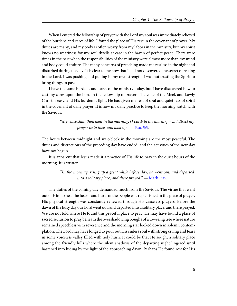When I entered the fellowship of prayer with the Lord my soul was immediately relieved of the burdens and cares of life. I found the place of His rest in the covenant of prayer. My duties are many, and my body is often weary from my labors in the ministry, but my spirit knows no weariness for my soul dwells at ease in the haven of perfect peace. There were times in the past when the responsibilities of the ministry were almost more than my mind and body could endure. The many concerns of preaching made me restless in the night and disturbed during the day. It is clear to me now that I had not discovered the secret of resting in the Lord. I was pushing and pulling in my own strength. I was not trusting the Spirit to bring things to pass.

I have the same burdens and cares of the ministry today, but I have discovered how to cast my cares upon the Lord in the fellowship of prayer. The yoke of the Meek and Lowly Christ is easy, and His burden is light. He has given me rest of soul and quietness of spirit in the covenant of daily prayer. It is now my daily practice to keep the morning watch with the Saviour.

> <span id="page-9-0"></span>"My voice shalt thou hear in the morning, O Lord; in the morning will I direct my prayer unto thee, and look  $up.$ "  $-$  [Psa. 5:3](http://www.ccel.org/study/Bible:Ps.5.3).

The hours between midnight and six o'clock in the morning are the most peaceful. The duties and distractions of the preceding day have ended, and the activities of the new day have not begun.

It is apparent that Jesus made it a practice of His life to pray in the quiet hours of the morning. It is written,

> <span id="page-9-1"></span>"In the morning, rising up a great while before day, he went out, and departed into a solitary place, and there prayed."  $-$  [Mark 1:35.](http://www.ccel.org/study/Bible:Mark.1.35)

The duties of the coming day demanded much from the Saviour. The virtue that went out of Him to heal the hearts and hurts of the people was replenished in the place of prayer. His physical strength was constantly renewed through His ceaseless prayers. Before the dawn of the busy day our Lord went out, and departed into a solitary place, and there prayed. We are not told where He found this peaceful place to pray. He may have found a place of sacred seclusion to pray beneath the overshadowing boughs of a towering tree where nature remained speechless with reverence and the morning star looked down in solemn contemplation. The Lord may have longed to pour out His sinless soul with strong crying and tears in some voiceless valley filled with holy hush. It could be that He sought a solitary place among the friendly hills where the silent shadows of the departing night lingered until hastened into hiding by the light of the approaching dawn. Perhaps He found rest for His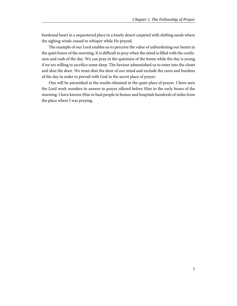burdened heart in a sequestered place in a lonely desert carpeted with shifting sands where the sighing winds ceased to whisper while He prayed.

The example of our Lord enables us to perceive the value of unburdening our hearts in the quiet hours of the morning. It is difficult to pray when the mind is filled with the confusion and rush of the day. We can pray in the quietness of the home while the day is young if we are willing to sacrifice some sleep. The Saviour admonished us to enter into the closet and shut the door. We must shut the door of our mind and exclude the cares and burdens of the day in order to prevail with God in the secret place of prayer.

One will be astonished at the results obtained in the quiet place of prayer. I have seen the Lord work wonders in answer to prayer offered before Him in the early hours of the morning. I have known Him to heal people in homes and hospitals hundreds of miles from the place where I was praying.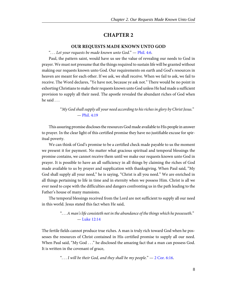#### **OUR REQUESTS MADE KNOWN UNTO GOD**

<span id="page-11-0"></span>"... Let your requests be made known unto God."  $-$  [Phil. 4:6](http://www.ccel.org/study/Bible:Phil.4.6).

<span id="page-11-3"></span>Paul, the pattern saint, would have us see the value of revealing our needs to God in prayer. We must not presume that the things required to sustain life will be granted without making our requests known unto God. Our requirements on earth and God's resources in heaven are meant for each other. If we ask, we shall receive. When we fail to ask, we fail to receive. The Word declares, "Ye have not, because ye ask not." There would be no point in exhorting Christians to make their requests known unto God unless He had made a sufficient provision to supply all their need. The apostle revealed the abundant riches of God when he said . . .

> <span id="page-11-4"></span>"My God shall supply all your need according to his riches in glory by Christ Jesus." — [Phil. 4:19](http://www.ccel.org/study/Bible:Phil.4.19)

This assuring promise discloses the resources God made available to His people in answer to prayer. In the clear light of this certified promise they have no justifiable excuse for spiritual poverty.

We can think of God's promise to be a certified check made payable to us the moment we present it for payment. No matter what gracious spiritual and temporal blessings the promise contains, we cannot receive them until we make our requests known unto God in prayer. It is possible to have an all sufficiency in all things by claiming the riches of God made available to us by prayer and supplication with thanksgiving. When Paul said, "My God shall supply all your need," he is saying, "Christ is all you need." We are enriched in all things pertaining to life in time and in eternity when we possess Him. Christ is all we ever need to cope with the difficulties and dangers confronting us in the path leading to the Father's house of many mansions.

The temporal blessings received from the Lord are not sufficient to supply all our need in this world. Jesus stated this fact when He said,

#### <span id="page-11-2"></span><span id="page-11-1"></span>". . . A man's life consisteth not in the abundance of the things which he possesseth." — [Luke 12:14](http://www.ccel.org/study/Bible:Luke.12.14)

The fertile fields cannot produce true riches. A man is truly rich toward God when he possesses the resources of Christ contained in His certified promise to supply all our need. When Paul said, "My God . . ." he disclosed the amazing fact that a man can possess God. It is written in the covenant of grace,

"... I will be their God, and they shall be my people."  $-2$  Cor. 6:16.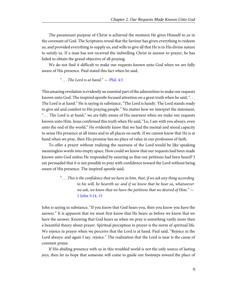The paramount purpose of Christ is achieved the moment He gives Himself to us in the covenant of God. The Scriptures reveal that the Saviour has given everything to redeem us, and provided everything to supply us, and wills to give all that He is in His divine nature to satisfy us. If a man has not received the indwelling Christ in answer to prayer, he has failed to obtain the grand objective of all praying.

We do not find it difficult to make our requests known unto God when we are fully aware of His presence. Paul stated this fact when he said,

#### <span id="page-12-0"></span>"... The Lord is at hand."  $-$  [Phil. 4:5](http://www.ccel.org/study/Bible:Phil.4.5)

This amazing revelation is evidently an essential part of the admonition to make our requests known unto God. The inspired apostle focused attention on a great truth when he said, ". . . The Lord is at hand." He is saying in substance, "The Lord is handy. The Lord stands ready to give aid and comfort to His praying people." No matter how we interpret the statement, ". . . The Lord is at hand," we are fully aware of His nearness when we make our requests known unto Him. Jesus confirmed this truth when He said, "Lo, I am with you always, even unto the end of the world." He evidently knew that we had the mental and moral capacity to sense His presence at all times and in all places on earth. If we cannot know that He is at hand when we pray, then His promise has no place of value in our profession of faith.

To offer a prayer without realizing the nearness of the Lord would be like speaking meaningless words into empty space. How could we know that our requests had been made known unto God unless He responded by assuring us that our petitions had been heard? I am persuaded that it is not possible to pray with confidence toward the Lord without being aware of His presence. The inspired apostle said,

> <span id="page-12-1"></span>". . . This is the confidence that we have in him, that, if we ask any thing according to his will, he heareth us: and if we know that he hear us, whatsoever we ask, we know that we have the petitions that we desired of Him."  $-$ [1 John 5:14, 15](http://www.ccel.org/study/Bible:1John.5.14 Bible:1John.5.15)

John is saying in substance, "If you know that God hears you, then you know you have the answer." It is apparent that we must first know that He hears us before we know that we have the answer. Knowing that God hears us when we pray is something vastly more than a beautiful theory about prayer. Spiritual perception in prayer is the norm of spiritual life. We rejoice in prayer when we perceive that the Lord is at hand. Paul said, "Rejoice in the Lord always: and again I say, rejoice." The realization that the Lord is near is the cause of constant praise.

If His abiding presence with us in this troubled world is not the only source of lasting joys, then let us hope that someone will come to guide our footsteps toward the place of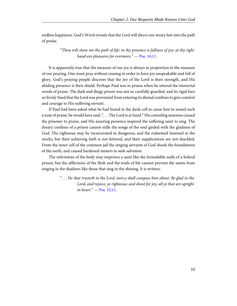endless happiness. God's Word reveals that the Lord will direct our weary feet into the path of praise.

> <span id="page-13-0"></span>"Thou wilt show me the path of life: in thy presence is fullness of joy; at thy right hand are pleasures for evermore." - [Psa. 16:11](http://www.ccel.org/study/Bible:Ps.16.11).

It is apparently true that the measure of our joy is always in proportion to the measure of our praying. One must pray without ceasing in order to have joy unspeakable and full of glory. God's praying people discover that the joy of the Lord is their strength, and His abiding presence is their shield. Perhaps Paul was in prison when he uttered the immortal words of praise. The dark and dingy prison was not so carefully guarded, and its rigid bars so firmly fixed that the Lord was prevented from entering its dismal confines to give comfort and courage to His suffering servant.

If Paul had been asked what he had found in the dank cell to cause him to sound such a note of praise, he would have said, "... The Lord is at hand." His consoling nearness caused the prisoner to praise, and His assuring presence inspired the suffering saint to sing. The dreary confines of a prison cannot stifle the songs of the soul girded with the gladness of God. The righteous may be incarcerated in dungeons, and the redeemed fastened in the stocks, but their achieving faith is not fettered, and their supplications are not shackled. From the inner cell of the common jail the singing servants of God shook the foundations of the earth, and caused hardened sinners to seek salvation.

The infirmities of the body may imprison a saint like the formidable walls of a federal prison; but the afflictions of the flesh and the trials of life cannot prevent the saints from singing in the shadows like those that sing in the shining. It is written,

> <span id="page-13-1"></span>". . . He that trusteth in the Lord, mercy shall compass him about. Be glad in the Lord, and rejoice, ye righteous: and shout for joy, all ye that are upright in heart." — [Psa. 32:11](http://www.ccel.org/study/Bible:Ps.32.11).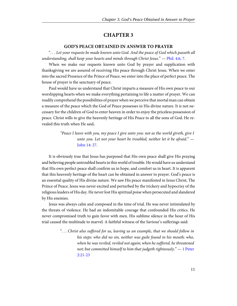# **GOD'S PEACE OBTAINED IN ANSWER TO PRAYER**

<span id="page-14-2"></span><span id="page-14-0"></span>". . . Let your requests be made known unto God. And the peace of God which passeth all understanding, shall keep your hearts and minds through Christ Jesus."  $-$  [Phil. 4:6, 7](http://www.ccel.org/study/Bible:Phil.4.6 Bible:Phil.4.7).

When we make our requests known unto God by prayer and supplication with thanksgiving we are assured of receiving His peace through Christ Jesus. When we enter into the sacred Presence of the Prince of Peace, we enter into the place of perfect peace. The house of prayer is the sanctuary of peace.

Paul would have us understand that Christ imparts a measure of His own peace to our worshipping hearts when we make everything pertaining to life a matter of prayer. We can readily comprehend the possibilities of prayer when we perceive that mortal man can obtain a measure of the peace which the God of Peace possesses in His divine nature. It is not necessary for the children of God to enter heaven in order to enjoy the priceless possession of peace. Christ wills to give the heavenly heritage of His Peace to all the sons of God. He revealed this truth when He said,

> <span id="page-14-1"></span>"Peace I leave with you, my peace I give unto you: not as the world giveth, give I unto you. Let not your heart be troubled, neither let it be afraid." — [John 14: 27](http://www.ccel.org/study/Bible:John.14.27).

It is obviously true that Jesus has purposed that His own peace shall give His praying and believing people untroubled hearts in this world of trouble. He would have us understand that His own perfect peace shall confirm us in hope, and comfort us in heart. It is apparent that this heavenly heritage of the heart can be obtained in answer to prayer. God's peace is an essential quality of His divine nature. We saw His peace manifested in Jesus Christ, The Prince of Peace. Jesus was never excited and perturbed by the trickery and hypocrisy of the religious leaders of His day. He never lost His spiritual poise when persecuted and slandered by His enemies.

Jesus was always calm and composed in the time of trial. He was never intimidated by the threats of violence. He had an indomitable courage that confounded His critics. He never compromised truth to gain favor with men. His sublime silence in the hour of His trial caused the multitude to marvel. A faithful witness of the Saviour's sufferings said:

> <span id="page-14-3"></span>". . . Christ also suffered for us, leaving us an example, that we should follow in his steps: who did no sin, neither was guile found in his mouth: who, when he was reviled, reviled not again; when he suffered, he threatened not; but committed himself to him that judgeth righteously."  $-1$  Peter [2:21-23](http://www.ccel.org/study/Bible:1Pet.2.21-1Pet.2.23)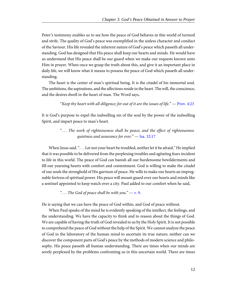Peter's testimony enables us to see how the peace of God behaves in this world of turmoil and strife. The quality of God's peace was exemplified in the sinless character and conduct of the Saviour. His life revealed the inherent nature of God's peace which passeth all understanding. God has designed that His peace shall keep our hearts and minds. He would have us understand that His peace shall be our guard when we make our requests known unto Him in prayer. When once we grasp the truth about this, and give it an important place in daily life, we will know what it means to possess the peace of God which passeth all understanding.

The heart is the center of man's spiritual being. It is the citadel of his immortal soul. The ambitions, the aspirations, and the affections reside in the heart. The will, the conscience, and the desires dwell in the heart of man. The Word says,

#### <span id="page-15-0"></span>"Keep thy heart with all diligence; for out of it are the issues of life."  $-$  [Prov. 4:23](http://www.ccel.org/study/Bible:Prov.4.23)

It is God's purpose to expel the indwelling sin of the soul by the power of the indwelling Spirit, and impart peace to man's heart.

# <span id="page-15-1"></span>". . . The work of righteousness shall be peace; and the effect of righteousness quietness and assurance for ever." — [Isa. 32:17](http://www.ccel.org/study/Bible:Isa.32.17)

When Jesus said. ". . . Let not your heart be troubled, neither let it be afraid," He implied that it was possible to be delivered from the perplexing troubles and agitating fears incident to life in this world. The peace of God can banish all our burdensome bewilderments and fill our yearning hearts with comfort and contentment. God is willing to make the citadel of our souls the stronghold of His garrison of peace. He wills to make our hearts an impregnable fortress of spiritual power. His peace will mount guard over our hearts and minds like a sentinel appointed to keep watch over a city. Paul added to our comfort when he said,

<span id="page-15-2"></span>"... The God of peace shall be with you."  $-$  [v. 9.](http://www.ccel.org/study/Bible:Phil.4.9)

He is saying that we can have the peace of God within, and God of peace without.

When Paul speaks of the mind he is evidently speaking of the intellect, the feelings, and the understanding. We have the capacity to think and to reason about the things of God. We are capable of having the truth of God revealed to us by the Holy Spirit. It is not possible to comprehend the peace of God without the help of the Spirit. We cannot analyze the peace of God in the laboratory of the human mind to ascertain its true nature; neither can we discover the component parts of God's peace by the methods of modern science and philosophy. His peace passeth all human understanding. There are times when our minds are sorely perplexed by the problems confronting us in this uncertain world. There are times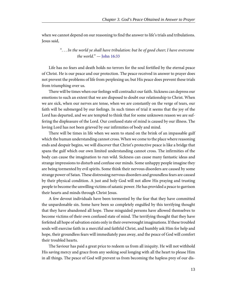when we cannot depend on our reasoning to find the answer to life's trials and tribulations. Jesus said,

# <span id="page-16-0"></span>". . . In the world ye shall have tribulation: but be of good cheer; I have overcome the world."  $-$  [John 16:33](http://www.ccel.org/study/Bible:John.16.33)

Life has no fears and death holds no terrors for the soul fortified by the eternal peace of Christ. He is our peace and our protection. The peace received in answer to prayer does not prevent the problems of life from perplexing us; but His peace does prevent these trials from triumphing over us.

There will be times when our feelings will contradict our faith. Sickness can depress our emotions to such an extent that we are disposed to doubt our relationship to Christ. When we are sick, when our nerves are tense, when we are constantly on the verge of tears, our faith will be submerged by our feelings. In such times of trial it seems that the joy of the Lord has departed, and we are tempted to think that for some unknown reason we are suffering the displeasure of the Lord. Our confused state of mind is caused by our illness. The loving Lord has not been grieved by our infirmities of body and mind.

There will be times in life when we seem to stand on the brink of an impassable gulf which the human understanding cannot cross. When we come to the place where reasoning ends and despair begins, we will discover that Christ's protective peace is like a bridge that spans the gulf which our own limited understanding cannot cross. The infirmities of the body can cause the imagination to run wild. Sickness can cause many fantastic ideas and strange impressions to disturb and confuse our minds. Some unhappy people imagine they are being tormented by evil spirits. Some think their nervous disorders are caused by some strange power of Satan. These distressing nervous disorders and groundless fears are caused by their physical condition. A just and holy God will not allow His praying and trusting people to become the unwilling victims of satanic power. He has provided a peace to garrison their hearts and minds through Christ Jesus.

A few devout individuals have been tormented by the fear that they have committed the unpardonable sin. Some have been so completely engulfed by this terrifying thought that they have abandoned all hope. These misguided persons have allowed themselves to become victims of their own confused state of mind. The terrifying thought that they have forfeited all hope of salvation exists only in their overwrought imaginations. If these troubled souls will exercise faith in a merciful and faithful Christ, and humbly ask Him for help and hope, their groundless fears will immediately pass away, and the peace of God will comfort their troubled hearts.

The Saviour has paid a great price to redeem us from all iniquity. He will not withhold His saving mercy and grace from any seeking soul longing with all the heart to please Him in all things. The peace of God will prevent us from becoming the hapless prey of our dis-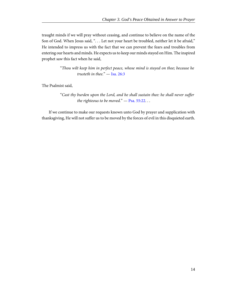traught minds if we will pray without ceasing, and continue to believe on the name of the Son of God. When Jesus said, ". . . Let not your heart be troubled, neither let it be afraid," He intended to impress us with the fact that we can prevent the fears and troubles from entering our hearts and minds. He expects us to keep our minds stayed on Him. The inspired prophet saw this fact when he said,

> <span id="page-17-1"></span>"Thou wilt keep him in perfect peace, whose mind is stayed on thee; because he trusteth in thee." — [Isa. 26:3](http://www.ccel.org/study/Bible:Isa.26.3)

The Psalmist said,

<span id="page-17-0"></span>"Cast thy burden upon the Lord, and he shall sustain thee: he shall never suffer the righteous to be moved."  $-$  [Psa. 55:22.](http://www.ccel.org/study/Bible:Ps.55.22)..

If we continue to make our requests known unto God by prayer and supplication with thanksgiving, He will not suffer us to be moved by the forces of evil in this disquieted earth.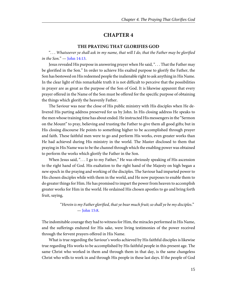#### **THE PRAYING THAT GLORIFIES GOD**

<span id="page-18-1"></span><span id="page-18-0"></span>". . . Whatsoever ye shall ask in my name, that will I do, that the Father may be glorified in the Son."  $-$  [John 14:13.](http://www.ccel.org/study/Bible:John.14.13)

Jesus revealed His purpose in answering prayer when He said, ". . . That the Father may be glorified in the Son." In order to achieve His exalted purpose to glorify the Father, the Son has bestowed on His redeemed people the inalienable right to ask anything in His Name. In the clear light of this remarkable truth it is not difficult to perceive that the possibilities in prayer are as great as the purpose of the Son of God. It is likewise apparent that every prayer offered in the Name of the Son must be offered for the specific purpose of obtaining the things which glorify the heavenly Father.

The Saviour was near the close of His public ministry with His disciples when He delivered His parting address preserved for us by John. In His closing address He speaks to the men whose training time has about ended. He instructed His messengers in the "Sermon on the Mount" to pray, believing and trusting the Father to give them all good gifts; but in His closing discourse He points to something higher to be accomplished through prayer and faith. These faithful men were to go and perform His works, even greater works than He had achieved during His ministry in the world. The Master disclosed to them that praying in His Name was to be the channel through which the enabling power was obtained to perform the works which glorify the Father in the Son.

When Jesus said, "... I go to my Father," He was obviously speaking of His ascension to the right hand of God. His exaltation to the right hand of the Majesty on high began a new epoch in the praying and working of the disciples. The Saviour had imparted power to His chosen disciples while with them in the world, and He now purposes to enable them to do greater things for Him. He has promised to impart the power from heaven to accomplish greater works for Him in the world. He ordained His chosen apostles to go and bring forth fruit, saying,

# <span id="page-18-2"></span>"Herein is my Father glorified, that ye bear much fruit; so shall ye be my disciples." — [John 15:8](http://www.ccel.org/study/Bible:John.15.8).

The indomitable courage they had to witness for Him, the miracles performed in His Name, and the sufferings endured for His sake, were living testimonies of the power received through the fervent prayers offered in His Name.

What is true regarding the Saviour's works achieved by His faithful disciples is likewise true regarding His works to be accomplished by His faithful people in this present age. The same Christ who worked in them and through them in that day, is the same changeless Christ who wills to work in and through His people in these last days. If the people of God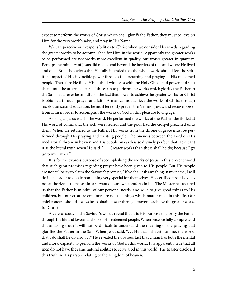expect to perform the works of Christ which shall glorify the Father, they must believe on Him for the very work's sake, and pray in His Name.

We can perceive our responsibilities to Christ when we consider His words regarding the greater works to be accomplished for Him in the world. Apparently the greater works to be performed are not works more excellent in quality, but works greater in quantity. Perhaps the ministry of Jesus did not extend beyond the borders of the land where He lived and died. But it is obvious that He fully intended that the whole world should feel the spiritual impact of His invincible power through the preaching and praying of His ransomed people. Therefore He filled His faithful witnesses with the Holy Ghost and power and sent them unto the uttermost part of the earth to perform the works which glorify the Father in the Son. Let us ever be mindful of the fact that power to achieve the greater works for Christ is obtained through prayer and faith. A man cannot achieve the works of Christ through his eloquence and education; he must fervently pray in the Name of Jesus, and receive power from Him in order to accomplish the works of God in this pleasure loving age.

As long as Jesus was in the world, He performed the works of the Father; devils fled at His word of command, the sick were healed, and the poor had the Gospel preached unto them. When He returned to the Father, His works from the throne of grace must be performed through His praying and trusting people. The oneness between the Lord on His mediatorial throne in heaven and His people on earth is so divinely perfect, that He meant it as the literal truth when He said, ". . . Greater works than these shall he do; because I go unto my Father."

It is for the express purpose of accomplishing the works of Jesus in this present world that such great promises regarding prayer have been given to His people. But His people are not at liberty to claim the Saviour's promise, "If ye shall ask any thing in my name, I will do it," in order to obtain something very special for themselves. His certified promise does not authorize us to make him a servant of our own comforts in life. The Master has assured us that the Father is mindful of our personal needs, and wills to give good things to His children, but our creature comforts are not the things which matter most in this life. Our chief concern should always be to obtain power through prayer to achieve the greater works for Christ.

A careful study of the Saviour's words reveal that it is His purpose to glorify the Father through the life and love and labors of His redeemed people. When once we fully comprehend this amazing truth it will not be difficult to understand the meaning of the praying that glorifies the Father in the Son. When Jesus said, ". . . He that believeth on me, the works that I do shall he do also. . . ," He revealed the obvious fact that a man has both the mental and moral capacity to perform the works of God in this world. It is apparently true that all men do not have the same natural abilities to serve God in this world. The Master disclosed this truth in His parable relating to the Kingdom of heaven.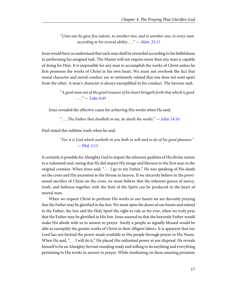<span id="page-20-0"></span>"Unto one he gave five talents, to another two, and to another one; to every man according to his several ability  $\dots$ " — [Matt. 25:15](http://www.ccel.org/study/Bible:Matt.25.15)

Jesus would have us understand that each man shall be rewarded according to his faithfulness in performing his assigned task. The Master will not require more than any man is capable of doing for Him. It is impossible for any man to accomplish the works of Christ unless he first possesses the works of Christ in his own heart. We must not overlook the fact that moral character and moral conduct are so intimately related that one does not exist apart from the other. A man's character is always exemplified in his conduct. The Saviour said,

> <span id="page-20-1"></span>"A good man out of the good treasure of his heart bringeth forth that which is good  $\ldots$ " — [Luke 6:45](http://www.ccel.org/study/Bible:Luke.6.45)

Jesus revealed the effective cause for achieving His works when He said,

<span id="page-20-2"></span>"... The Father that dwelleth in me, he doeth the works."  $-$  [John 14:10](http://www.ccel.org/study/Bible:John.14.10)

Paul stated this sublime truth when he said,

<span id="page-20-3"></span>"For it is God which worketh in you both to will and to do of his good pleasure." — [Phil. 2:13](http://www.ccel.org/study/Bible:Phil.2.13)

It certainly is possible for Almighty God to impart the inherent qualities of His divine nature to a redeemed soul, seeing that He did impart His image and likeness to the first man in the original creation. When Jesus said, ". . . I go to my Father," He was speaking of His death on the cross and His ascension to the throne in heaven. If we sincerely believe in the provisional sacrifice of Christ on the cross, we must believe that the inherent graces of mercy, truth, and holiness together with the fruit of the Spirit can be produced in the heart of mortal man.

When we request Christ to perform His works in our hearts we are devoutly praying that the Father may be glorified in the Son. We must open the doors of our hearts and extend to the Father, the Son and the Holy Spirit the right to rule us for ever, when we truly pray that the Father may be glorified in His Son. Jesus assured us that the heavenly Father would make His abode with us in answer to prayer. Surely a people so signally blessed would be able to exemplify the greater works of Christ in their diligent labors. It is apparent that our Lord has not limited the power made available to His people through prayer in His Name. When He said, "... I will do it," He placed His unlimited power at our disposal. He reveals himself to be an Almighty Servant standing ready and willing to do anything and everything pertaining to His works in answer to prayer. While meditating on these amazing promises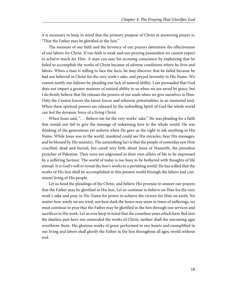it is necessary to keep in mind that the primary purpose of Christ in answering prayer is, "That the Father may be glorified in the Son."

The measure of our faith and the fervency of our prayers determine the effectiveness of our labors for Christ. If our faith is weak and our praying passionless we cannot expect to achieve much for Him. A man can ease his accusing conscience by explaining that he failed to accomplish the works of Christ because of adverse conditions where he lives and labors. When a man is willing to face the facts, he may discover that he failed because he had not believed in Christ for the very work's sake, and prayed fervently in His Name. We cannot justify our failures by pleading our lack of natural ability. I am persuaded that God does not impart a greater measure of natural ability to us when we are saved by grace, but I do firmly believe that He releases the powers of our souls when we give ourselves to Him. Only the Creator knows the latent forces and inherent potentialities in an immortal soul. When these spiritual powers are released by the indwelling Spirit of God the whole world can feel the dynamic force of a living Christ.

When Jesus said, "... Believe me for the very works' sake," He was pleading for a faith that would not fail to give the message of redeeming love to the whole world. He was thinking of the generations yet unborn when He gave us the right to ask anything in His Name. While Jesus was in the world, mankind could see His miracles, hear His messages, and be blessed by His ministry. The astonishing fact is that the people of yesterday saw Him crucified, dead and buried, but cared very little about Jesus of Nazareth, the penniless preacher of Palestine. They were too engrossed in their own affairs of life to be impressed by a suffering Saviour. The world of today is too busy to be bothered with thoughts of life eternal. It is God's will to reveal the Son's works to a perishing world. He has willed that the works of His Son shall be accomplished in this present world through the labors and consistent living of His people.

Let us heed the pleadings of the Christ, and believe His promise to answer our prayers that the Father may be glorified in His Son. Let us continue to believe on Him for the very work's sake and pray in His Name for power to achieve the victory for Him on earth. No matter how sorely we are tried, nor how dark the hours may seem in times of sufferings, we must continue to pray that the Father may be glorified in the Son through our services and sacrifices in His work. Let us ever keep in mind that the countless years which have fled into the dateless past have not outmoded the works of Christ, neither shall the oncoming ages overthrow them. His glorious works of grace performed in our hearts and exemplified in our living and labors shall glorify the Father in the Son throughout all ages, world without end.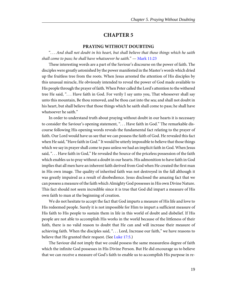#### **PRAYING WITHOUT DOUBTING**

<span id="page-22-1"></span><span id="page-22-0"></span>". . . And shall not doubt in his heart, but shall believe that those things which he saith shall come to pass; he shall have whatsoever he saith."  $-$  [Mark 11:23](http://www.ccel.org/study/Bible:Mark.11.23)

These interesting words are a part of the Saviour's discourse on the power of faith. The disciples were greatly astonished by the power manifested in the Master's words which dried up the fruitless tree from the roots. When Jesus arrested the attention of His disciples by this unusual miracle, He obviously intended to reveal the power of God made available to His people through the prayer of faith. When Peter called the Lord's attention to the withered tree He said, ". . . Have faith in God. For verily I say unto you, That whosoever shall say unto this mountain, Be thou removed, and be thou cast into the sea; and shall not doubt in his heart, but shall believe that those things which he saith shall come to pass; he shall have whatsoever he saith."

In order to understand truth about praying without doubt in our hearts it is necessary to consider the Saviour's opening statement, ". . . Have faith in God." The remarkable discourse following His opening words reveals the fundamental fact relating to the prayer of faith. Our Lord would have us see that we can possess the faith of God. He revealed this fact when He said, "Have faith in God." It would be utterly impossible to believe that those things which we say in prayer shall come to pass unless we had an implicit faith in God. When Jesus said, ". . . Have faith in God," He revealed the Source of the priceless possession of the faith which enables us to pray without a doubt in our hearts. His admonition to have faith in God implies that all men have an inherent faith derived from God when He created the first man in His own image. The quality of inherited faith was not destroyed in the fall although it was greatly impaired as a result of disobedience. Jesus disclosed the amazing fact that we can possess a measure of the faith which Almighty God possesses in His own Divine Nature. This fact should not seem incredible since it is true that God did impart a measure of His own faith to man at the beginning of creation.

<span id="page-22-2"></span>We do not hesitate to accept the fact that God imparts a measure of His life and love to His redeemed people. Surely it is not impossible for Him to impart a sufficient measure of His faith to His people to sustain them in life in this world of doubt and disbelief. If His people are not able to accomplish His works in the world because of the littleness of their faith, there is no valid reason to doubt that He can and will increase their measure of achieving faith. When the disciples said, ". . . Lord, Increase our faith," we have reasons to believe that He granted their request. (See [Luke 17:5](http://www.ccel.org/study/Bible:Luke.17.5).)

The Saviour did not imply that we could possess the same measureless degree of faith which the infinite God possesses in His Divine Person. But He did encourage us to believe that we can receive a measure of God's faith to enable us to accomplish His purpose in re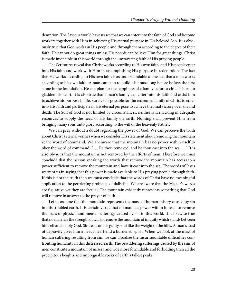demption. The Saviour would have us see that we can enter into the faith of God and become workers together with Him in achieving His eternal purpose in His beloved Son. It is obviously true that God works in His people and through them according to the degree of their faith. He cannot do great things unless His people can believe Him for great things. Christ is made invincible in this world through the unwavering faith of His praying people.

The Scriptures reveal that Christ works according to His own faith, and His people enter into His faith and work with Him in accomplishing His purpose in redemption. The fact that He works according to His own faith is as understandable as the fact that a man works according to his own faith. A man can plan to build his house long before he lays the first stone in the foundation. He can plan for the happiness of a family before a child is born to gladden his heart. It is also true that a man's family can enter into his faith and assist him to achieve his purpose in life. Surely it is possible for the redeemed family of Christ to enter into His faith and participate in His eternal purpose to achieve the final victory over sin and death. The Son of God is not limited by circumstances, neither is He lacking in adequate resources to supply the need of His family on earth. Nothing shall prevent Him from bringing many sons unto glory according to the will of the heavenly Father.

We can pray without a doubt regarding the power of God. We can perceive the truth about Christ's eternal verities when we consider His statement about removing the mountain at the word of command. We are aware that the mountain has no power within itself to obey the word of command, ". . . Be thou removed, and be thou cast into the sea. . . " It is also obvious that the mountain is not removed by the efforts of man. Therefore we must conclude that the person speaking the words that remove the mountain has access to a power sufficient to remove the mountain and have it cast into the sea. The words of Jesus warrant us in saying that this power is made available to His praying people through faith. If this is not the truth then we must conclude that the words of Christ have no meaningful application to the perplexing problems of daily life. We are aware that the Master's words are figurative yet they are factual. The mountain evidently represents something that God will remove in answer to the prayer of faith.

Let us assume that the mountain represents the mass of human misery caused by sin in this troubled earth. It is certainly true that no man has power within himself to remove the mass of physical and mental sufferings caused by sin in this world. It is likewise true that no man has the strength of will to remove the mountain of iniquity which stands between himself and a holy God. Sin rests on his guilty soul like the weight of the hills. A man's load of depravity gives him a heavy heart and a burdened spirit. When we look at the mass of human suffering resulting from sin, we can visualize the insurmountable difficulties confronting humanity in this distressed earth. The bewildering sufferings caused by the sins of men constitute a mountain of misery and woe more formidable and forbidding than all the precipitous heights and impregnable rocks of earth's tallest peaks.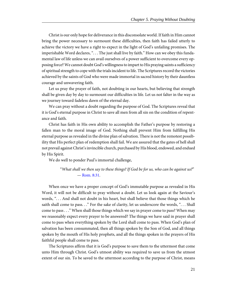Christ is our only hope for deliverance in this disconsolate world. If faith in Him cannot bring the power necessary to surmount these difficulties, then faith has failed utterly to achieve the victory we have a right to expect in the light of God's unfailing promises. The imperishable Word declares, "... The just shall live by faith." How can we obey this fundamental law of life unless we can avail ourselves of a power sufficient to overcome every opposing force? We cannot doubt God's willingness to impart to His praying saints a sufficiency of spiritual strength to cope with the trials incident to life. The Scriptures record the victories achieved by the saints of God who were made immortal in sacred history by their dauntless courage and unwavering faith.

Let us pray the prayer of faith, not doubting in our hearts, but believing that strength shall be given day by day to surmount our difficulties in life. Let us not falter in the way as we journey toward fadeless dawn of the eternal day.

We can pray without a doubt regarding the purpose of God. The Scriptures reveal that it is God's eternal purpose in Christ to save all men from all sin on the condition of repentance and faith.

Christ has faith in His own ability to accomplish the Father's purpose by restoring a fallen man to the moral image of God. Nothing shall prevent Him from fulfilling His eternal purpose as revealed in the divine plan of salvation. There is not the remotest possibility that His perfect plan of redemption shall fail. We are assured that the gates of hell shall not prevail against Christ's invincible church, purchased by His blood, endowed, and endued by His Spirit.

We do well to ponder Paul's immortal challenge,

<span id="page-24-0"></span>"What shall we then say to these things? If God be for us, who can be against us?" — [Rom. 8:31.](http://www.ccel.org/study/Bible:Rom.8.31)

When once we have a proper concept of God's immutable purpose as revealed in His Word, it will not be difficult to pray without a doubt. Let us look again at the Saviour's words, ". . . And shall not doubt in his heart, but shall believe that those things which he saith shall come to pass..." For the sake of clarity, let us underscore the words, "... Shall come to pass . . ." When shall those things which we say in prayer come to pass? When may we reasonably expect every prayer to be answered? The things we have said in prayer shall come to pass when everything spoken by the Lord shall come to pass. When God's plan of salvation has been consummated, then all things spoken by the Son of God, and all things spoken by the mouth of His holy prophets, and all the things spoken in the prayers of His faithful people shall come to pass.

The Scriptures affirm that it is God's purpose to save them to the uttermost that come unto Him through Christ. God's utmost ability was required to save us from the utmost extent of our sin. To be saved to the uttermost according to the purpose of Christ, means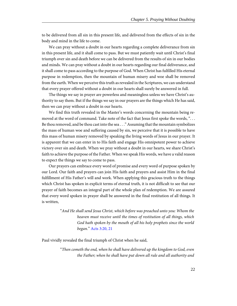to be delivered from all sin in this present life, and delivered from the effects of sin in the body and mind in the life to come.

We can pray without a doubt in our hearts regarding a complete deliverance from sin in this present life, and it shall come to pass. But we must patiently wait until Christ's final triumph over sin and death before we can be delivered from the results of sin in our bodies and minds. We can pray without a doubt in our hearts regarding our final deliverance, and it shall come to pass according to the purpose of God. When Christ has fulfilled His eternal purpose in redemption, then the mountain of human misery and woe shall be removed from the earth. When we perceive this truth as revealed in the Scriptures, we can understand that every prayer offered without a doubt in our hearts shall surely be answered in full.

The things we say in prayer are powerless and meaningless unless we have Christ's authority to say them. But if the things we say in our prayers are the things which He has said, then we can pray without a doubt in our hearts.

We find this truth revealed in the Master's words concerning the mountain being removed at the word of command. Take note of the fact that Jesus first spoke the words, ". . . Be thou removed, and be thou cast into the sea . . ." Assuming that the mountain symbolizes the mass of human woe and suffering caused by sin, we perceive that it is possible to have this mass of human misery removed by speaking the living words of Jesus in our prayer. It is apparent that we can enter in to His faith and engage His omnipotent power to achieve victory over sin and death. When we pray without a doubt in our hearts, we share Christ's faith to achieve the purpose of the Father. When we speak His words, we have a valid reason to expect the things we say to come to pass.

Our prayers can embrace every word of promise and every word of purpose spoken by our Lord. Our faith and prayers can join His faith and prayers and assist Him in the final fulfillment of His Father's will and work. When applying this gracious truth to the things which Christ has spoken in explicit terms of eternal truth, it is not difficult to see that our prayer of faith becomes an integral part of the whole plan of redemption. We are assured that every word spoken in prayer shall be answered in the final restitution of all things. It is written,

> <span id="page-25-0"></span>"And He shall send Jesus Christ, which before was preached unto you: Whom the heaven must receive until the times of restitution of all things, which God hath spoken by the mouth of all his holy prophets since the world began." [Acts 3:20, 21](http://www.ccel.org/study/Bible:Acts.3.20 Bible:Acts.3.21)

Paul vividly revealed the final triumph of Christ when he said,

"Then cometh the end, when he shall have delivered up the kingdom to God, even the Father; when he shall have put down all rule and all authority and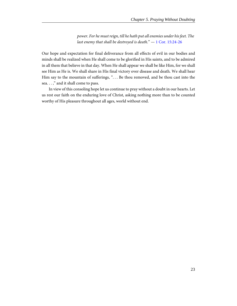<span id="page-26-0"></span>power. For he must reign, till he hath put all enemies under his feet. The last enemy that shall be destroyed is death."  $-1$  Cor. 15:24-26

Our hope and expectation for final deliverance from all effects of evil in our bodies and minds shall be realized when He shall come to be glorified in His saints, and to be admired in all them that believe in that day. When He shall appear we shall be like Him, for we shall see Him as He is. We shall share in His final victory over disease and death. We shall hear Him say to the mountain of sufferings, "... Be thou removed, and be thou cast into the sea. . . ," and it shall come to pass.

In view of this consoling hope let us continue to pray without a doubt in our hearts. Let us rest our faith on the enduring love of Christ, asking nothing more than to be counted worthy of His pleasure throughout all ages, world without end.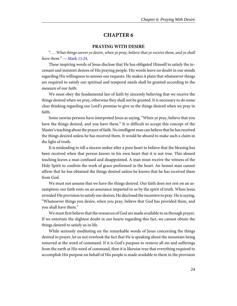#### **PRAYING WITH DESIRE**

<span id="page-27-1"></span><span id="page-27-0"></span>". . . What things soever ye desire, when ye pray, believe that ye receive them, and ye shall have them. $"$  — [Mark 11:24](http://www.ccel.org/study/Bible:Mark.11.24).

These inspiring words of Jesus disclose that He has obligated Himself to satisfy the incessant and insistent desires of His praying people. His words leave no doubt in our minds regarding His willingness to answer our requests. He makes it plain that whatsoever things are required to satisfy our spiritual and temporal needs shall be granted according to the measure of our faith.

We must obey the fundamental law of faith by sincerely believing that we receive the things desired when we pray, otherwise they shall not be granted. It is necessary to do some clear thinking regarding our Lord's promise to give us the things desired when we pray in faith.

Some unwise persons have interpreted Jesus as saying, "When ye pray, believe that you have the things desired, and you have them." It is difficult to accept this concept of the Master's teaching about the prayer of faith. No intelligent man can believe that he has received the things desired unless he has received them. It would be absurd to make such a claim in the light of truth.

It is misleading to tell a sincere seeker after a pure heart to believe that the blessing has been received when that person knows in his own heart that it is not true. This absurd teaching leaves a man confused and disappointed. A man must receive the witness of the Holy Spirit to confirm the work of grace performed in the heart. An honest man cannot affirm that he has obtained the things desired unless he knows that he has received them from God.

We must not assume that we have the things desired. Our faith does not rest on an assumption; our faith rests on an assurance imparted to us by the spirit of truth. When Jesus revealed His provision to satisfy our desires, He disclosed the incentive to pray. He is saying, "Whatsoever things you desire, when you pray, believe that God has provided them, and you shall have them."

We must first believe that the resources of God are made available to us through prayer. If we entertain the slightest doubt in our hearts regarding this fact, we cannot obtain the things desired to satisfy us in life.

While seriously meditating on the remarkable words of Jesus concerning the things desired in prayer, let us not overlook the fact that He is speaking about the mountain being removed at the word of command. If it is God's purpose to remove all sin and sufferings from the earth at His word of command, then it is likewise true that everything required to accomplish His purpose on behalf of His people is made available to them in the provision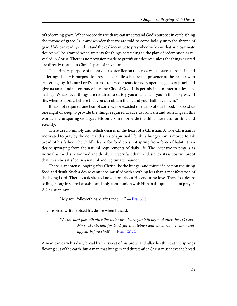of redeeming grace. When we see this truth we can understand God's purpose in establishing the throne of grace. Is it any wonder that we are told to come boldly unto the throne of grace? We can readily understand the real incentive to pray when we know that our legitimate desires will be granted when we pray for things pertaining to the plan of redemption as revealed in Christ. There is no provision made to gratify our desires unless the things desired are directly related to Christ's plan of salvation.

The primary purpose of the Saviour's sacrifice on the cross was to save us from sin and sufferings. It is His purpose to present us faultless before the presence of the Father with exceeding joy. It is our Lord's purpose to dry our tears for ever, open the gates of pearl, and give us an abundant entrance into the City of God. It is permissible to interpret Jesus as saying, "Whatsoever things are required to satisfy you and sustain you in this holy way of life, when you pray, believe that you can obtain them, and you shall have them."

It has not required one tear of sorrow, nor exacted one drop of our blood, nor cost us one night of sleep to provide the things required to save us from sin and sufferings in this world. The unsparing God gave His only Son to provide the things we need for time and eternity.

There are no unholy and selfish desires in the heart of a Christian. A true Christian is motivated to pray by the normal desires of spiritual life like a hungry son is moved to ask bread of his father. The child's desire for food does not spring from force of habit, it is a desire springing from the natural requirements of daily life. The incentive to pray is as normal as the desire for food and drink. The very fact that the desire exists is positive proof that it can be satisfied in a natural and legitimate manner.

There is an intense longing after Christ like the hunger and thirst of a person requiring food and drink. Such a desire cannot be satisfied with anything less than a manifestation of the living Lord. There is a desire to know more about His enduring love. There is a desire to linger long in sacred worship and holy communion with Him in the quiet place of prayer. A Christian says,

<span id="page-28-1"></span><span id="page-28-0"></span>"My soul followeth hard after thee  $\dots$ " — [Psa. 63:8](http://www.ccel.org/study/Bible:Ps.63.8)

The inspired writer voiced his desire when he said,

"As the hart panteth after the water brooks, so panteth my soul after thee, O God. My soul thirsteth for God, for the living God: when shall I come and appear before God?" — [Psa. 42:1, 2](http://www.ccel.org/study/Bible:Ps.42.1 Bible:Ps.42.2)

A man can earn his daily bread by the sweat of his brow, and allay his thirst at the springs flowing out of the earth, but a man that hungers and thirsts after Christ must have the bread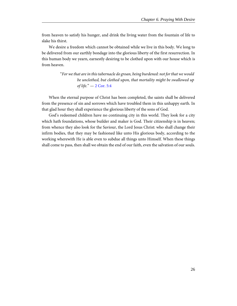from heaven to satisfy his hunger, and drink the living water from the fountain of life to slake his thirst.

We desire a freedom which cannot be obtained while we live in this body. We long to be delivered from our earthly bondage into the glorious liberty of the first resurrection. In this human body we yearn, earnestly desiring to be clothed upon with our house which is from heaven.

> <span id="page-29-0"></span>"For we that are in this tabernacle do groan, being burdened: not for that we would be unclothed, but clothed upon, that mortality might be swallowed up of life." — [2 Cor. 5:4](http://www.ccel.org/study/Bible:2Cor.5.4)

When the eternal purpose of Christ has been completed, the saints shall be delivered from the presence of sin and sorrows which have troubled them in this unhappy earth. In that glad hour they shall experience the glorious liberty of the sons of God.

God's redeemed children have no continuing city in this world. They look for a city which hath foundations, whose builder and maker is God. Their citizenship is in heaven; from whence they also look for the Saviour, the Lord Jesus Christ: who shall change their infirm bodies, that they may be fashioned like unto His glorious body, according to the working wherewith He is able even to subdue all things unto Himself. When these things shall come to pass, then shall we obtain the end of our faith, even the salvation of our souls.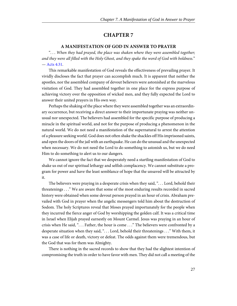#### **A MANIFESTATION OF GOD IN ANSWER TO PRAYER**

<span id="page-30-1"></span><span id="page-30-0"></span>". . . When they had prayed, the place was shaken where they were assembled together; and they were all filled with the Holy Ghost, and they spake the word of God with boldness." — [Acts 4:31](http://www.ccel.org/study/Bible:Acts.4.31).

This remarkable manifestation of God reveals the effectiveness of prevailing prayer. It vividly discloses the fact that prayer can accomplish much. It is apparent that neither the apostles, nor the assembled company of devout believers were astonished at the marvelous visitation of God. They had assembled together in one place for the express purpose of achieving victory over the opposition of wicked men, and they fully expected the Lord to answer their united prayers in His own way.

Perhaps the shaking of the place where they were assembled together was an extraordinary occurrence, but receiving a direct answer to their importunate praying was neither unusual nor unexpected. The believers had assembled for the specific purpose of producing a miracle in the spiritual world, and not for the purpose of producing a phenomenon in the natural world. We do not need a manifestation of the supernatural to arrest the attention of a pleasure seeking world. God does not often shake the shackles off His imprisoned saints, and open the doors of the jail with an earthquake. He can do the unusual and the unexpected when necessary. We do not need the Lord to do something to astonish us, but we do need Him to do something to alert us to our dangers.

We cannot ignore the fact that we desperately need a startling manifestation of God to shake us out of our spiritual lethargy and selfish complacency. We cannot substitute a program for power and have the least semblance of hope that the unsaved will be attracted by it.

The believers were praying in a desperate crisis when they said, "... Lord, behold their threatenings . . ." We are aware that some of the most enduring results recorded in sacred history were obtained when some devout person prayed in an hour of crisis. Abraham prevailed with God in prayer when the angelic messengers told him about the destruction of Sodom. The holy Scriptures reveal that Moses prayed importunately for the people when they incurred the fierce anger of God by worshipping the golden calf. It was a critical time in Israel when Elijah prayed earnestly on Mount Carmel. Jesus was praying in an hour of crisis when He said, ". . . Father, the hour is come . . ." The believers were confronted by a desperate situation when they said, ". . . Lord, behold their threatenings . . ." With them, it was a case of life or death, victory or defeat. The odds against them were tremendous, but the God that was for them was Almighty.

There is nothing in the sacred records to show that they had the slightest intention of compromising the truth in order to have favor with men. They did not call a meeting of the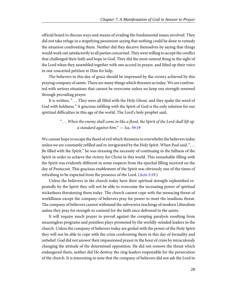official board to discuss ways and means of evading the fundamental issues involved. They did not take refuge in a stupefying pessimism saying that nothing could be done to remedy the situation confronting them. Neither did they deceive themselves by saying that things would work out satisfactorily to all parties concerned. They were willing to accept the conflict that challenged their faith and hope in God. They did the most natural thing in the sight of the Lord when they assembled together with one accord in prayer, and lifted up their voice in one concerted petition to Him for help.

The believers in this day of grace should be impressed by the victory achieved by this praying company of saints. There are many things which threaten us today. We are confronted with serious situations that cannot be overcome unless we keep our strength renewed through prevailing prayer.

It is written, ". . . They were all filled with the Holy Ghost, and they spake the word of God with boldness." A gracious infilling with the Spirit of God is the only solution for our spiritual difficulties in this age of the world. The Lord's holy prophet said,

# <span id="page-31-0"></span>". . . When the enemy shall come in like a flood, the Spirit of the Lord shall lift up a standard against him." — [Isa. 59:19](http://www.ccel.org/study/Bible:Isa.59.19)

<span id="page-31-1"></span>We cannot hope to escape the flood of evil which threatens to overwhelm the believers today unless we are constantly refilled and re-invigorated by the Holy Spirit. When Paul said, ". . . Be filled with the Spirit," he was stressing the necessity of continuing in the fullness of the Spirit in order to achieve the victory for Christ in this world. This remarkable filling with the Spirit was evidently different in some respects from the epochal filling received on the day of Pentecost. This gracious enablement of the Spirit was obviously one of the times of refreshing to be expected from the presence of the Lord. ([Acts 3:19](http://www.ccel.org/study/Bible:Acts.3.19).)

Unless the believers in the church today have their spiritual strength replenished repeatedly by the Spirit they will not be able to overcome the increasing power of spiritual wickedness threatening them today. The church cannot cope with the menacing threat of worldliness except the company of believers pray for power to meet the insidious threat. The company of believers cannot withstand the subversive teachings of modern Liberalism unless they pray for strength to contend for the faith once delivered to the saints.

It will require much prayer to prevail against the creeping paralysis resulting from meaningless programs and pointless plays promoted by the worldly-minded leaders in the church. Unless the company of believers today are girded with the power of the Holy Spirit they will not be able to cope with the crisis confronting them in this day of formality and unbelief. God did not answer their impassioned prayer in the hour of crisis by miraculously changing the attitude of the determined opposition. He did not remove the threat which endangered them, neither did He destroy the ring-leaders responsible for the persecution of the church. It is interesting to note that the company of believers did not ask the Lord to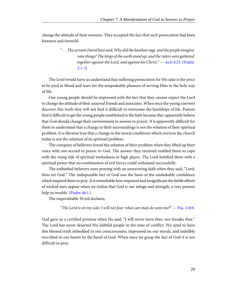change the attitude of their enemies. They accepted the fact that such persecution had been foreseen and foretold.

# <span id="page-32-0"></span>". . . Thy servant David hast said, Why did the heathen rage, and the people imagine vain things? The kings of the earth stood up, and the rulers were gathered together against the Lord, and against his Christ." — [Acts 4:25](http://www.ccel.org/study/Bible:Acts.4.25). ([Psalm](http://www.ccel.org/study/Bible:Ps.2.1-Ps.2.3) [2:1-3\)](http://www.ccel.org/study/Bible:Ps.2.1-Ps.2.3)

The Lord would have us understand that suffering persecution for His sake is the price to be paid in blood and tears for the unspeakable pleasure of serving Him in the holy way of life.

Our young people should be impressed with the fact that they cannot expect the Lord to change the attitude of their unsaved friends and associates. When once the young converts discover this truth they will not find it difficult to overcome the hardships of life. Pastors find it difficult to get the young people established in the faith because they apparently believe that God should change their environment in answer to prayer. It is apparently difficult for them to understand that a change in their surroundings is not the solution of their spiritual problem. It is likewise true that a change in the moral conditions which environ the church today is not the solution of its spiritual problem.

The company of believers found the solution of their problem when they lifted up their voice with one accord in prayer to God. The answer they received enabled them to cope with the rising tide of spiritual wickedness in high places. The Lord fortified them with a spiritual power that no combination of evil forces could withstand successfully.

<span id="page-32-1"></span>The embattled believers were praying with an unwavering faith when they said, "Lord, thou art God." The indisputable fact of God was the basis of the unshakable confidence which inspired them to pray. It is remarkable how impotent and insignificant the feeble efforts of wicked men appear when we realize that God is our refuge and strength, a very present help in trouble. ([Psalm 46:1.](http://www.ccel.org/study/Bible:Ps.46.1))

The imperishable Word declares,

<span id="page-32-2"></span>"The Lord is on my side; I will not fear: what can man do unto me?"  $-$  [Psa. 118:6](http://www.ccel.org/study/Bible:Ps.118.6)

God gave us a certified promise when He said, "I will never leave thee, nor forsake thee." The Lord has never deserted His faithful people in the time of conflict. We need to have this blessed truth imbedded in our consciousness, impressed on our minds, and indelibly inscribed in our hearts by the hand of God. When once we grasp the fact of God it is not difficult to pray.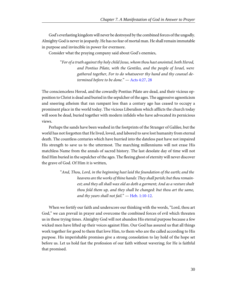God's everlasting kingdom will never be destroyed by the combined forces of the ungodly. Almighty God is never in jeopardy. He has no fear of mortal man. He shall remain immutable in purpose and invincible in power for evermore.

Consider what the praying company said about God's enemies,

<span id="page-33-0"></span>"For of a truth against thy holy child Jesus, whom thou hast anointed, both Herod, and Pontius Pilate, with the Gentiles, and the people of Israel, were gathered together, For to do whatsoever thy hand and thy counsel determined before to be done." — [Acts 4:27, 28](http://www.ccel.org/study/Bible:Acts.4.27 Bible:Acts.4.28)

The conscienceless Herod, and the cowardly Pontius Pilate are dead, and their vicious opposition to Christ is dead and buried in the sepulcher of the ages. The aggressive agnosticism and sneering atheism that ran rampant less than a century ago has ceased to occupy a prominent place in the world today. The vicious Liberalism which afflicts the church today will soon be dead, buried together with modern infidels who have advocated its pernicious views.

Perhaps the sands have been washed in the footprints of the Stranger of Galilee, but the world has not forgotten that He lived, loved, and labored to save lost humanity from eternal death. The countless centuries which have hurried into the dateless past have not impaired His strength to save us to the uttermost. The marching millenniums will not erase His matchless Name from the annals of sacred history. The last desolate day of time will not find Him buried in the sepulcher of the ages. The fleeing ghost of eternity will never discover the grave of God. Of Him it is written,

> <span id="page-33-1"></span>"And, Thou, Lord, in the beginning hast laid the foundation of the earth; and the heavens are the works of thine hands: They shall perish; but thou remainest; and they all shall wax old as doth a garment; And as a vesture shalt thou fold them up, and they shall be changed: but thou art the same, and thy years shall not fail."  $-$  [Heb. 1:10-12](http://www.ccel.org/study/Bible:Heb.1.10-Heb.1.12).

When we fortify our faith and underscore our thinking with the words, "Lord, thou art God," we can prevail in prayer and overcome the combined forces of evil which threaten us in these trying times. Almighty God will not abandon His eternal purpose because a few wicked men have lifted up their voices against Him. Our God has assured us that all things work together for good to them that love Him, to them who are the called according to His purpose. His imperishable promises give a strong consolation to lay hold of the hope set before us. Let us hold fast the profession of our faith without wavering; for He is faithful that promised.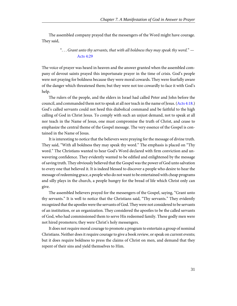The assembled company prayed that the messengers of the Word might have courage. They said,

# <span id="page-34-1"></span>"... Grant unto thy servants, that with all boldness they may speak thy word."  $-$ [Acts 4:29](http://www.ccel.org/study/Bible:Acts.4.29)

The voice of prayer was heard in heaven and the answer granted when the assembled company of devout saints prayed this importunate prayer in the time of crisis. God's people were not praying for boldness because they were moral cowards. They were fearfully aware of the danger which threatened them; but they were not too cowardly to face it with God's help.

<span id="page-34-0"></span>The rulers of the people, and the elders in Israel had called Peter and John before the council, and commanded them not to speak at all nor teach in the name of Jesus. ([Acts 4:18.](http://www.ccel.org/study/Bible:Acts.4.18)) God's called servants could not heed this diabolical command and be faithful to the high calling of God in Christ Jesus. To comply with such an unjust demand, not to speak at all nor teach in the Name of Jesus, one must compromise the truth of Christ, and cease to emphasize the central theme of the Gospel message. The very essence of the Gospel is contained in the Name of Jesus.

It is interesting to notice that the believers were praying for the message of divine truth. They said, "With all boldness they may speak thy word." The emphasis is placed on "Thy word." The Christians wanted to hear God's Word declared with firm conviction and unwavering confidence. They evidently wanted to be edified and enlightened by the message of saving truth. They obviously believed that the Gospel was the power of God unto salvation to every one that believed it. It is indeed blessed to discover a people who desire to hear the message of redeeming grace, a people who do not want to be entertained with cheap programs and silly plays in the church, a people hungry for the bread of life which Christ only can give.

The assembled believers prayed for the messengers of the Gospel, saying, "Grant unto thy servants." It is well to notice that the Christians said, "Thy servants." They evidently recognized that the apostles were the servants of God. They were not considered to be servants of an institution, or an organization. They considered the apostles to be the called servants of God, who had commissioned them to serve His redeemed family. These godly men were not hired promoters; they were Christ's holy messengers.

It does not require moral courage to promote a program to entertain a group of nominal Christians. Neither does it require courage to give a book review, or speak on current events; but it does require boldness to press the claims of Christ on men, and demand that they repent of their sins and yield themselves to Him.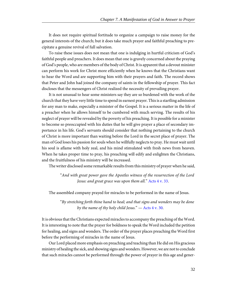It does not require spiritual fortitude to organize a campaign to raise money for the general interests of the church; but it does take much prayer and faithful preaching to precipitate a genuine revival of full salvation.

To raise these issues does not mean that one is indulging in hurtful criticism of God's faithful people and preachers. It does mean that one is gravely concerned about the praying of God's people, who are members of the body of Christ. It is apparent that a devout minister can perform his work for Christ more efficiently when he knows that the Christians want to hear the Word and are supporting him with their prayers and faith. The record shows that Peter and John had joined the company of saints in the fellowship of prayer. This fact discloses that the messengers of Christ realized the necessity of prevailing prayer.

It is not unusual to hear some ministers say they are so burdened with the work of the church that they have very little time to spend in earnest prayer. This is a startling admission for any man to make, especially a minister of the Gospel. It is a serious matter in the life of a preacher when he allows himself to be cumbered with much serving. The results of his neglect of prayer will be revealed by the poverty of his preaching. It is possible for a minister to become so preoccupied with his duties that he will give prayer a place of secondary importance in his life. God's servants should consider that nothing pertaining to the church of Christ is more important than waiting before the Lord in the secret place of prayer. The man of God loses his passion for souls when he willfully neglects to pray. He must wait until his soul is aflame with holy zeal, and his mind stimulated with fresh news from heaven. When he takes proper time to pray, his preaching will edify and enlighten the Christians, and the fruitfulness of his ministry will be increased.

The writer disclosed some remarkable results from this ministry of prayer when he said,

<span id="page-35-1"></span><span id="page-35-0"></span>"And with great power gave the Apostles witness of the resurrection of the Lord Jesus: and great grace was upon them all." [Acts 4 v. 33.](http://www.ccel.org/study/Bible:Acts.4.33)

The assembled company prayed for miracles to be performed in the name of Jesus.

"By stretching forth thine hand to heal; and that signs and wonders may be done by the name of thy holy child Jesus."  $-$  [Acts 4 v. 30](http://www.ccel.org/study/Bible:Acts.4.30).

It is obvious that the Christians expected miracles to accompany the preaching of the Word. It is interesting to note that the prayer for boldness to speak the Word included the petition for healing, and signs and wonders. The order of the prayer places preaching the Word first before the performing of miracles in the name of Jesus.

Our Lord placed more emphasis on preaching and teaching than He did on His gracious ministry of healing the sick, and showing signs and wonders. However, we are not to conclude that such miracles cannot be performed through the power of prayer in this age and gener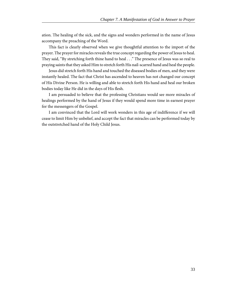ation. The healing of the sick, and the signs and wonders performed in the name of Jesus accompany the preaching of the Word.

This fact is clearly observed when we give thoughtful attention to the import of the prayer. The prayer for miracles reveals the true concept regarding the power of Jesus to heal. They said, "By stretching forth thine hand to heal . . ." The presence of Jesus was so real to praying saints that they asked Him to stretch forth His nail-scarred hand and heal the people.

Jesus did stretch forth His hand and touched the diseased bodies of men, and they were instantly healed. The fact that Christ has ascended to heaven has not changed our concept of His Divine Person. He is willing and able to stretch forth His hand and heal our broken bodies today like He did in the days of His flesh.

I am persuaded to believe that the professing Christians would see more miracles of healings performed by the hand of Jesus if they would spend more time in earnest prayer for the messengers of the Gospel.

I am convinced that the Lord will work wonders in this age of indifference if we will cease to limit Him by unbelief, and accept the fact that miracles can be performed today by the outstretched hand of the Holy Child Jesus.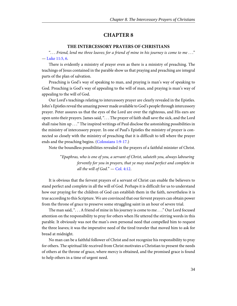#### **THE INTERCESSORY PRAYERS OF CHRISTIANS**

<span id="page-37-1"></span><span id="page-37-0"></span>". . . Friend, lend me three loaves; for a friend of mine in his journey is come to me . . ." — [Luke 11:5, 6.](http://www.ccel.org/study/Bible:Luke.11.5 Bible:Luke.11.6)

There is evidently a ministry of prayer even as there is a ministry of preaching. The teachings of Jesus contained in the parable show us that praying and preaching are integral parts of the plan of salvation.

Preaching is God's way of speaking to man, and praying is man's way of speaking to God. Preaching is God's way of appealing to the will of man, and praying is man's way of appealing to the will of God.

Our Lord's teachings relating to intercessory prayer are clearly revealed in the Epistles. John's Epistles reveal the amazing power made available to God's people through intercessory prayer. Peter assures us that the eyes of the Lord are over the righteous, and His ears are open unto their prayers. James said, ". . . The prayer of faith shall save the sick, and the Lord shall raise him up . . ." The inspired writings of Paul disclose the astonishing possibilities in the ministry of intercessory prayer. In one of Paul's Epistles the ministry of prayer is connected so closely with the ministry of preaching that it is difficult to tell where the prayer ends and the preaching begins. [\(Colossians 1:9-17.](http://www.ccel.org/study/Bible:Col.1.9-Col.1.17))

<span id="page-37-2"></span>Note the boundless possibilities revealed in the prayers of a faithful minister of Christ.

<span id="page-37-3"></span>"Epaphras, who is one of you, a servant of Christ, saluteth you, always labouring fervently for you in prayers, that ye may stand perfect and complete in all the will of  $God. " - Col. 4:12.$  $God. " - Col. 4:12.$  $God. " - Col. 4:12.$ 

It is obvious that the fervent prayers of a servant of Christ can enable the believers to stand perfect and complete in all the will of God. Perhaps it is difficult for us to understand how our praying for the children of God can establish them in the faith, nevertheless it is true according to this Scripture. We are convinced that our fervent prayers can obtain power from the throne of grace to preserve some struggling saint in an hour of severe trial.

The man said, ". . . A friend of mine in his journey is come to me . . ." Our Lord focused attention on the responsibility to pray for others when He uttered the stirring words in this parable. It obviously was not the man's own personal need that compelled him to request the three loaves; it was the imperative need of the tired traveler that moved him to ask for bread at midnight.

No man can be a faithful follower of Christ and not recognize his responsibility to pray for others. The spiritual life received from Christ motivates a Christian to present the needs of others at the throne of grace, where mercy is obtained, and the promised grace is found to help others in a time of urgent need.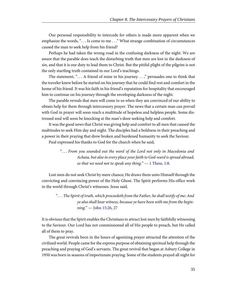Our personal responsibility to intercede for others is made more apparent when we emphasize the words, ". . . Is come to me . . ." What strange combination of circumstances caused the man to seek help from his friend?

Perhaps he had taken the wrong road in the confusing darkness of the night. We are aware that the parable does teach the disturbing truth that men are lost in the darkness of sin, and that it is our duty to lead them to Christ. But the pitiful plight of the pilgrim is not the only startling truth contained in our Lord's teachings.

The statement, ". . . A friend of mine in his journey. . . ," persuades one to think that the traveler knew before he started on his journey that he could find rest and comfort in the home of his friend. It was his faith in his friend's reputation for hospitality that encouraged him to continue on his journey through the enveloping darkness of the night.

The parable reveals that men will come to us when they are convinced of our ability to obtain help for them through intercessory prayer. The news that a certain man can prevail with God in prayer will soon reach a multitude of hopeless and helpless people. Some distressed soul will soon be knocking at the man's door seeking help and comfort.

It was the good news that Christ was giving help and comfort to all men that caused the multitudes to seek Him day and night. The disciples had a boldness in their preaching and a power in their praying that drew broken and burdened humanity to seek the Saviour.

Paul expressed his thanks to God for the church when he said,

<span id="page-38-1"></span>". . . From you sounded out the word of the Lord not only in Macedonia and Achaia, but also in every place your faith to God-ward is spread abroad; so that we need not to speak any thing."  $-1$  Thess. 1:8.

Lost men do not seek Christ by mere chance; He draws them unto Himself through the convicting and convincing power of the Holy Ghost. The Spirit performs His office work in the world through Christ's witnesses. Jesus said,

<span id="page-38-0"></span>". . . The Spirit of truth, which proceedeth from the Father, he shall testify of me: And ye also shall bear witness, because ye have been with me from the beginning." — [John 15:26, 27](http://www.ccel.org/study/Bible:John.15.26 Bible:John.15.27)

It is obvious that the Spirit enables the Christians to attract lost men by faithfully witnessing to the Saviour. Our Lord has not commissioned all of His people to preach, but He called all of them to pray.

The great revivals born in the hours of agonizing prayer attracted the attention of the civilized world. People came for the express purpose of obtaining spiritual help through the preaching and praying of God's servants. The great revival that began at Asbury College in 1950 was born in seasons of importunate praying. Some of the students prayed all night for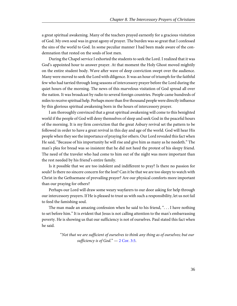a great spiritual awakening. Many of the teachers prayed earnestly for a gracious visitation of God. My own soul was in great agony of prayer. The burden was so great that I confessed the sins of the world to God. In some peculiar manner I had been made aware of the condemnation that rested on the souls of lost men.

During the Chapel service I exhorted the students to seek the Lord. I realized that it was God's appointed hour to answer prayer. At that moment the Holy Ghost moved mightily on the entire student body. Wave after wave of deep conviction swept over the audience. Many were moved to seek the Lord with diligence. It was an hour of triumph for the faithful few who had tarried through long seasons of intercessory prayer before the Lord during the quiet hours of the morning. The news of this marvelous visitation of God spread all over the nation. It was broadcast by radio to several foreign countries. People came hundreds of miles to receive spiritual help. Perhaps more than five thousand people were directly influence by this glorious spiritual awakening born in the hours of intercessory prayer.

I am thoroughly convinced that a great spiritual awakening will come to this benighted world if the people of God will deny themselves of sleep and seek God in the peaceful hours of the morning. It is my firm conviction that the great Asbury revival set the pattern to be followed in order to have a great revival in this day and age of the world. God will hear His people when they see the importance of praying for others. Our Lord revealed this fact when He said, "Because of his importunity he will rise and give him as many as he needeth." The man's plea for bread was so insistent that he did not heed the protest of his sleepy friend. The need of the traveler who had come to him out of the night was more important than the rest needed by his friend's entire family.

Is it possible that we are too indolent and indifferent to pray? Is there no passion for souls? Is there no sincere concern for the lost? Can it be that we are too sleepy to watch with Christ in the Gethsemane of prevailing prayer? Are our physical comforts more important than our praying for others?

Perhaps our Lord will draw some weary wayfarers to our door asking for help through our intercessory prayers. If He is pleased to trust us with such a responsibility, let us not fail to feed the famishing soul.

The man made an amazing confession when he said to his friend, ". . . I have nothing to set before him." It is evident that Jesus is not calling attention to the man's embarrassing poverty. He is showing us that our sufficiency is not of ourselves. Paul stated this fact when he said.

> <span id="page-39-0"></span>"Not that we are sufficient of ourselves to think any thing as of ourselves; but our sufficiency is of God."  $-2$  Cor. 3:5.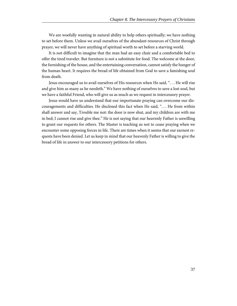We are woefully wanting in natural ability to help others spiritually; we have nothing to set before them. Unless we avail ourselves of the abundant resources of Christ through prayer, we will never have anything of spiritual worth to set before a starving world.

It is not difficult to imagine that the man had an easy chair and a comfortable bed to offer the tired traveler. But furniture is not a substitute for food. The welcome at the door, the furnishing of the house, and the entertaining conversation, cannot satisfy the hunger of the human heart. It requires the bread of life obtained from God to save a famishing soul from death.

Jesus encouraged us to avail ourselves of His resources when He said, ". . . He will rise and give him as many as he needeth." We have nothing of ourselves to save a lost soul, but we have a faithful Friend, who will give us as much as we request in intercessory prayer.

Jesus would have us understand that our importunate praying can overcome our discouragements and difficulties. He disclosed this fact when He said, ". . . He from within shall answer and say, Trouble me not: the door is now shut, and my children are with me in bed; I cannot rise and give thee." He is not saying that our heavenly Father is unwilling to grant our requests for others. The Master is teaching us not to cease praying when we encounter some opposing forces in life. There are times when it seems that our earnest requests have been denied. Let us keep in mind that our heavenly Father is willing to give the bread of life in answer to our intercessory petitions for others.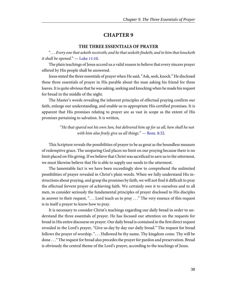#### **THE THREE ESSENTIALS OF PRAYER**

<span id="page-41-1"></span><span id="page-41-0"></span>". . . Every one that asketh receiveth; and he that seeketh findeth; and to him that knocketh it shall be opened."  $-$  [Luke 11:10.](http://www.ccel.org/study/Bible:Luke.11.10)

The plain teachings of Jesus accord us a valid reason to believe that every sincere prayer offered by His people shall be answered.

Jesus stated the three essentials of prayer when He said, "Ask, seek, knock." He disclosed these three essentials of prayer in His parable about the man asking his friend for three loaves. It is quite obvious that he was asking, seeking and knocking when he made his request for bread in the middle of the night.

The Master's words revealing the inherent principles of effectual praying confirm our faith, enlarge our understanding, and enable us to appropriate His certified promises. It is apparent that His promises relating to prayer are as vast in scope as the extent of His promises pertaining to salvation. It is written,

> <span id="page-41-2"></span>"He that spared not his own Son, but delivered him up for us all, how shall he not with him also freely give us all things."  $-$  [Rom. 8:32.](http://www.ccel.org/study/Bible:Rom.8.32)

This Scripture reveals the possibilities of prayer to be as great as the boundless measure of redemptive grace. The unsparing God places no limit on our praying because there is no limit placed on His giving. If we believe that Christ was sacrificed to save us to the uttermost, we must likewise believe that He is able to supply our needs to the uttermost.

The lamentable fact is we have been exceedingly slow to comprehend the unlimited possibilities of prayer revealed in Christ's plain words. When we fully understand His instructions about praying, and grasp the promises by faith, we will not find it difficult to pray the effectual fervent prayer of achieving faith. We certainly owe it to ourselves and to all men, to consider seriously the fundamental principles of prayer disclosed to His disciples in answer to their request, ". . . Lord teach us to pray . . ." The very essence of this request is in itself a prayer to know how to pray.

It is necessary to consider Christ's teachings regarding our daily bread in order to understand the three essentials of prayer. He has focused our attention on the requests for bread in His entire discourse on prayer. Our daily bread is contained in the first direct request revealed in the Lord's prayer, "Give us day by day our daily bread." The request for bread follows the prayer of worship. ". . . Hallowed be thy name. Thy kingdom come. Thy will be done . . ." The request for bread also precedes the prayer for pardon and preservation. Bread is obviously the central theme of the Lord's prayer, according to the teachings of Jesus.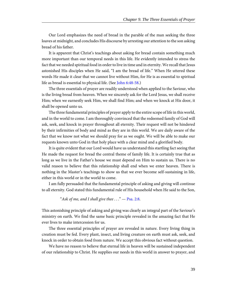Our Lord emphasizes the need of bread in the parable of the man seeking the three loaves at midnight, and concludes His discourse by arresting our attention to the son asking bread of his father.

It is apparent that Christ's teachings about asking for bread contain something much more important than our temporal needs in this life. He evidently intended to stress the fact that we needed spiritual food in order to live in time and in eternity. We recall that Jesus astonished His disciples when He said, "I am the bread of life." When He uttered these words He made it clear that we cannot live without Him, for He is as essential to spiritual life as bread is essential to physical life. (See [John 6:48-58](http://www.ccel.org/study/Bible:John.6.48-John.6.58).)

<span id="page-42-1"></span>The three essentials of prayer are readily understood when applied to the Saviour, who is the living bread from heaven. When we sincerely ask for the Lord Jesus, we shall receive Him; when we earnestly seek Him, we shall find Him; and when we knock at His door, it shall be opened unto us.

The three fundamental principles of prayer apply to the entire scope of life in this world, and in the world to come. I am thoroughly convinced that the redeemed family of God will ask, seek, and knock in prayer throughout all eternity. Their request will not be hindered by their infirmities of body and mind as they are in this world. We are daily aware of the fact that we know not what we should pray for as we ought. We will be able to make our requests known unto God in that holy place with a clear mind and a glorified body.

It is quite evident that our Lord would have us understand this startling fact seeing that He made the request for bread the central theme of family life. It is certainly true that as long as we live in the Father's house we must depend on Him to sustain us. There is no valid reason to believe that this relationship shall end when we enter heaven. There is nothing in the Master's teachings to show us that we ever become self-sustaining in life, either in this world or in the world to come.

I am fully persuaded that the fundamental principle of asking and giving will continue to all eternity. God stated this fundamental rule of His household when He said to the Son,

<span id="page-42-0"></span>"Ask of me, and I shall give thee  $\ldots$ " — [Psa. 2:8](http://www.ccel.org/study/Bible:Ps.2.8).

This astonishing principle of asking and giving was clearly an integral part of the Saviour's ministry on earth. We find the same basic principle revealed in the amazing fact that He ever lives to make intercession for us.

The three essential principles of prayer are revealed in nature. Every living thing in creation must be fed. Every plant, insect, and living creature on earth must ask, seek, and knock in order to obtain food from nature. We accept this obvious fact without question.

We have no reason to believe that eternal life in heaven will be sustained independent of our relationship to Christ. He supplies our needs in this world in answer to prayer, and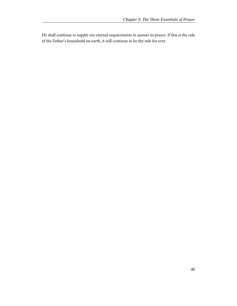He shall continue to supply our eternal requirements in answer to prayer. If this is the rule of the Father's household on earth, it will continue to be the rule for ever.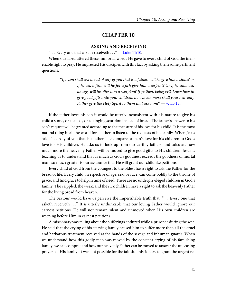#### **ASKING AND RECEIVING**

<span id="page-44-0"></span>"... Every one that asketh receiveth  $\dots$ " — [Luke 11:10](http://www.ccel.org/study/Bible:Luke.11.10).

<span id="page-44-1"></span>When our Lord uttered these immortal words He gave to every child of God the inalienable right to pray. He impressed His disciples with this fact by asking them some pertinent questions:

> <span id="page-44-2"></span>"If a son shall ask bread of any of you that is a father, will he give him a stone? or if he ask a fish, will he for a fish give him a serpent? Or if he shall ask an egg, will he offer him a scorpion? If ye then, being evil, know how to give good gifts unto your children: how much more shall your heavenly Father give the Holy Spirit to them that ask him?"  $-$  [v. 11-13](http://www.ccel.org/study/Bible:Luke.11.11-Luke.11.13).

If the father loves his son it would be utterly inconsistent with his nature to give his child a stone, or a snake, or a stinging scorpion instead of bread. The father's answer to his son's request will be granted according to the measure of his love for his child. It is the most natural thing in all the world for a father to listen to the requests of his family. When Jesus said, "... Any of you that is a father," he compares a man's love for his children to God's love for His children. He asks us to look up from our earthly fathers, and calculate how much more the heavenly Father will be moved to give good gifts to His children. Jesus is teaching us to understand that as much as God's goodness exceeds the goodness of mortal man, so much greater is our assurance that He will grant our childlike petitions.

Every child of God from the youngest to the oldest has a right to ask the Father for the bread of life. Every child, irrespective of age, sex, or race, can come boldly to the throne of grace, and find grace to help in time of need. There are no underprivileged children in God's family. The crippled, the weak, and the sick children have a right to ask the heavenly Father for the living bread from heaven.

The Saviour would have us perceive the imperishable truth that, ". . . Every one that asketh receiveth . . ." It is utterly unthinkable that our loving Father would ignore our earnest petitions. He will not remain silent and unmoved when His own children are weeping before Him in earnest petitions.

A missionary was telling about the sufferings endured while a prisoner during the war. He said that the crying of his starving family caused him to suffer more than all the cruel and barbarous treatment received at the hands of the savage and inhuman guards. When we understand how this godly man was moved by the constant crying of his famishing family, we can comprehend how our heavenly Father can be moved to answer the unceasing prayers of His family. It was not possible for the faithful missionary to grant the urgent re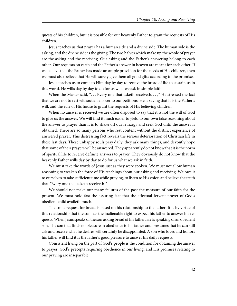quests of his children, but it is possible for our heavenly Father to grant the requests of His children.

Jesus teaches us that prayer has a human side and a divine side. The human side is the asking, and the divine side is the giving. The two halves which make up the whole of prayer are the asking and the receiving. Our asking and the Father's answering belong to each other. Our requests on earth and the Father's answer in heaven are meant for each other. If we believe that the Father has made an ample provision for the needs of His children, then we must also believe that He will surely give them all good gifts according to the promise.

Jesus teaches us to come to Him day by day to receive the bread of life to sustain us in this world. He wills day by day to do for us what we ask in simple faith.

When the Master said, "... Every one that asketh receiveth...," He stressed the fact that we are not to rest without an answer to our petitions. He is saying that it is the Father's will, and the rule of His house to grant the requests of His believing children.

When no answer is received we are often disposed to say that it is not the will of God to give us the answer. We will find it much easier to yield to our own false reasoning about the answer to prayer than it is to shake off our lethargy and seek God until the answer is obtained. There are so many persons who rest content without the distinct experience of answered prayer. This distressing fact reveals the serious deterioration of Christian life in these last days. These unhappy souls pray daily, they ask many things, and devoutly hope that some of their prayers will be answered. They apparently do not know that it is the norm of spiritual life to receive definite answers to prayer. They obviously do not know that the heavenly Father wills day by day to do for us what we ask in faith.

We must take the words of Jesus just as they were spoken. We must not allow human reasoning to weaken the force of His teachings about our asking and receiving. We owe it to ourselves to take sufficient time while praying, to listen to His voice, and believe the truth that "Every one that asketh receiveth."

We should not make our many failures of the past the measure of our faith for the present. We must hold fast the assuring fact that the effectual fervent prayer of God's obedient child availeth much.

The son's request for bread is based on his relationship to the father. It is by virtue of this relationship that the son has the inalienable right to expect his father to answer his requests. When Jesus speaks of the son asking bread of his father, He is speaking of an obedient son. The son that finds no pleasure in obedience to his father and presumes that he can still ask and receive what he desires will certainly be disappointed. A son who loves and honors his father will find it is the father's good pleasure to answer his daily requests.

Consistent living on the part of God's people is the condition for obtaining the answer to prayer. God's precepts requiring obedience in our living, and His promises relating to our praying are inseparable.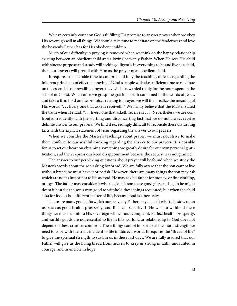We can certainly count on God's fulfilling His promise to answer prayer when we obey His sovereign will in all things. We should take time to meditate on the tenderness and love the heavenly Father has for His obedient children.

Much of our difficulty in praying is removed when we think on the happy relationship existing between an obedient child and a loving heavenly Father. When He sees His child with sincere purpose and steady will seeking diligently in everything to be and live as a child, then our prayers will prevail with Him as the prayer of an obedient child.

It requires considerable time to comprehend fully the teachings of Jesus regarding the inherent principles of effectual praying. If God's people will take sufficient time to meditate on the essentials of prevailing prayer, they will be rewarded richly for the hours spent in the school of Christ. When once we grasp the gracious truth contained in the words of Jesus, and take a firm hold on the promises relating to prayer, we will then realize the meaning of His words, ". . . Every one that asketh receiveth." We firmly believe that the Master stated the truth when He said, ". . . Every one that asketh receiveth . . ." Nevertheless we are confronted frequently with the startling and disconcerting fact that we do not always receive definite answer to our prayers. We find it exceedingly difficult to reconcile these disturbing facts with the explicit statement of Jesus regarding the answer to our prayers.

When we consider the Master's teachings about prayer, we must not strive to make them conform to our wishful thinking regarding the answer to our prayers. It is possible for us to set our heart on obtaining something we greatly desire for our own personal gratification, and then express our keen disappointment because the request was not granted.

The answer to our perplexing questions about prayer will be found when we study the Master's words about the son asking for bread. We are fully aware that the son cannot live without bread; he must have it or perish. However, there are many things the son may ask which are not as important to life as food. He may ask his father for money, or fine clothing, or toys. The father may consider it wise to give his son these good gifts; and again he might deem it best for the son's own good to withhold these things requested; but when the child asks for food it is a different matter of life, because food is a necessity.

There are many good gifts which our heavenly Father may deem it wise to bestow upon us, such as good health, prosperity, and financial security. If He wills to withhold these things we must submit to His sovereign will without complaint. Perfect health, prosperity, and earthly goods are not essential to life in this world. Our relationship to God does not depend on these creature comforts. These things cannot impart to us the moral strength we need to cope with the trials incident to life in this evil world. It requires the "Bread of life" to give the spiritual strength to sustain us in these last days. We are fully assured that our Father will give us the living bread from heaven to keep us strong in faith, undaunted in courage, and invincible in hope.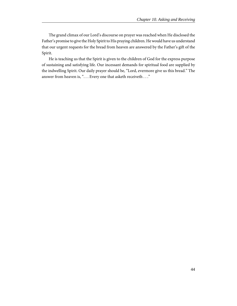The grand climax of our Lord's discourse on prayer was reached when He disclosed the Father's promise to give the Holy Spirit to His praying children. He would have us understand that our urgent requests for the bread from heaven are answered by the Father's gift of the Spirit.

He is teaching us that the Spirit is given to the children of God for the express purpose of sustaining and satisfying life. Our incessant demands for spiritual food are supplied by the indwelling Spirit. Our daily prayer should be, "Lord, evermore give us this bread." The answer from heaven is, "... Every one that asketh receiveth ..."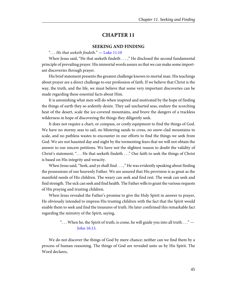#### **SEEKING AND FINDING**

#### <span id="page-48-0"></span>"... He that seeketh findeth."  $-$  [Luke 11:10](http://www.ccel.org/study/Bible:Luke.11.10)

<span id="page-48-1"></span>When Jesus said, "He that seeketh findeth . . . ," He disclosed the second fundamental principle of prevailing prayer. His immortal words assure us that we can make some important discoveries through prayer.

His brief statement presents the greatest challenge known to mortal man. His teachings about prayer are a direct challenge to our profession of faith. If we believe that Christ is the way, the truth, and the life, we must believe that some very important discoveries can be made regarding these essential facts about Him.

It is astonishing what men will do when inspired and motivated by the hope of finding the things of earth they so ardently desire. They sail uncharted seas, endure the scorching heat of the desert, scale the ice-covered mountains, and brave the dangers of a trackless wilderness in hope of discovering the things they diligently seek.

It does not require a chart, or compass, or costly equipment to find the things of God. We have no stormy seas to sail, no blistering sands to cross, no snow-clad mountains to scale, and no pathless wastes to encounter in our efforts to find the things we seek from God. We are not haunted day and night by the tormenting fears that we will not obtain the answer to our sincere petitions. We have not the slightest reason to doubt the validity of Christ's statement, ". . . He that seeketh findeth . . ." Our faith to seek the things of Christ is based on His integrity and veracity.

When Jesus said, "Seek, and ye shall find . . . ," He was evidently speaking about finding the possessions of our heavenly Father. We are assured that His provision is as great as the manifold needs of His children. The weary can seek and find rest. The weak can seek and find strength. The sick can seek and find health. The Father wills to grant the various requests of His praying and trusting children.

When Jesus revealed the Father's promise to give the Holy Spirit in answer to prayer, He obviously intended to impress His trusting children with the fact that the Spirit would enable them to seek and find the treasures of truth. He later confirmed this remarkable fact regarding the ministry of the Spirit, saying,

# <span id="page-48-2"></span>". . . When he, the Spirit of truth, is come, he will guide you into all truth . . ." — [John 16:13.](http://www.ccel.org/study/Bible:John.16.13)

We do not discover the things of God by mere chance; neither can we find them by a process of human reasoning. The things of God are revealed unto us by His Spirit. The Word declares,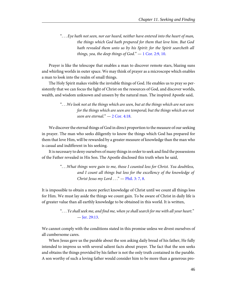<span id="page-49-1"></span>". . . Eye hath not seen, nor ear heard, neither have entered into the heart of man, the things which God hath prepared for them that love him. But God hath revealed them unto us by his Spirit: for the Spirit searcheth all things, yea, the deep things of God."  $-1$  Cor. 2:9, 10.

Prayer is like the telescope that enables a man to discover remote stars, blazing suns and whirling worlds in outer space. We may think of prayer as a microscope which enables a man to look into the realm of small things.

The Holy Spirit makes visible the invisible things of God. He enables us to pray so persistently that we can focus the light of Christ on the resources of God, and discover worlds, wealth, and wisdom unknown and unseen by the natural man. The inspired Apostle said,

We discover the eternal things of God in direct proportion to the measure of our seeking in prayer. The man who seeks diligently to know the things which God has prepared for them that love Him, will be rewarded by a greater measure of knowledge than the man who is casual and indifferent in his seeking.

It is necessary to deny ourselves of many things in order to seek and find the possessions of the Father revealed in His Son. The Apostle disclosed this truth when he said,

> <span id="page-49-3"></span>". . .What things were gain to me, those I counted loss for Christ. Yea doubtless, and I count all things but loss for the excellency of the knowledge of Christ Jesus my Lord  $\dots$ " - [Phil. 3: 7, 8](http://www.ccel.org/study/Bible:Phil.3.7 Bible:Phil.3.8).

It is impossible to obtain a more perfect knowledge of Christ until we count all things loss for Him. We must lay aside the things we count gain. To be aware of Christ in daily life is of greater value than all earthly knowledge to be obtained in this world. It is written,

> <span id="page-49-0"></span>". . . Ye shall seek me, and find me, when ye shall search for me with all your heart." — [Jer. 29:13](http://www.ccel.org/study/Bible:Jer.29.13).

We cannot comply with the conditions stated in this promise unless we divest ourselves of all cumbersome cares.

When Jesus gave us the parable about the son asking daily bread of his father, He fully intended to impress us with several salient facts about prayer. The fact that the son seeks and obtains the things provided by his father is not the only truth contained in the parable. A son worthy of such a loving father would consider him to be more than a generous pro-

<span id="page-49-2"></span><sup>&</sup>quot;. . .We look not at the things which are seen, but at the things which are not seen: for the things which are seen are temporal; but the things which are not seen are eternal." $-2$  Cor. 4:18.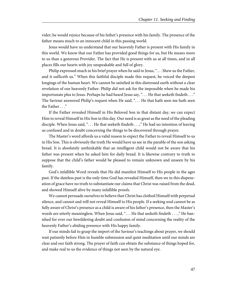vider; he would rejoice because of his father's presence with his family. The presence of the father means much to an innocent child in this passing world.

Jesus would have us understand that our heavenly Father is present with His family in this world. We know that our Father has provided good things for us, but He means more to us than a generous Provider. The fact that He is present with us at all times, and in all places fills our hearts with joy unspeakable and full of glory.

Philip expressed much in his brief prayer when he said to Jesus, ". . . Shew us the Father, and it sufficeth us." When this faithful disciple made this request, he voiced the deepest longings of the human heart. We cannot be satisfied in this distressed earth without a clear revelation of our heavenly Father. Philip did not ask for the impossible when he made his importunate plea to Jesus. Perhaps he had heard Jesus say, ". . . He that seeketh findeth . . ." The Saviour answered Philip's request when He said, ". . . He that hath seen me hath seen the Father . . ."

If the Father revealed Himself in His Beloved Son in that distant day, we can expect Him to reveal Himself in His Son in this day. Our need is as great as the need of the pleading disciple. When Jesus said, ". . . He that seeketh findeth . . .," He had no intention of leaving us confused and in doubt concerning the things to be discovered through prayer.

The Master's word affords us a valid reason to expect the Father to reveal Himself to us in His Son. This is obviously the truth He would have us see in the parable of the son asking bread. It is absolutely unthinkable that an intelligent child would not be aware that his father was present when he asked him for daily bread. It is likewise contrary to truth to suppose that the child's father would be pleased to remain unknown and unseen by his family.

God's infallible Word reveals that He did manifest Himself to His people in the ages past. If the dateless past is the only time God has revealed Himself, then we in this dispensation of grace have no truth to substantiate our claims that Christ was raised from the dead, and showed Himself alive by many infallible proofs.

We cannot persuade ourselves to believe that Christ has clothed Himself with perpetual silence, and cannot and will not reveal Himself to His people. If a seeking soul cannot be as fully aware of Christ's presence as a child is aware of his father's presence, then the Master's words are utterly meaningless. When Jesus said, "... He that seeketh findeth ...," He banished for ever our bewildering doubt and confusion of mind concerning the reality of the heavenly Father's abiding presence with His happy family.

If our minds fail to grasp the import of the Saviour's teachings about prayer, we should wait patiently before Him in humble submission and quiet meditation until our minds are clear and our faith strong. The prayer of faith can obtain the substance of things hoped for, and make real to us the evidence of things not seen by the natural eye.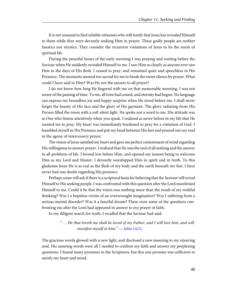It is not unusual to find reliable witnesses who will testify that Jesus has revealed Himself to them while they were devoutly seeking Him in prayer. These godly people are neither fanatics nor mystics. They consider the recurrent visitations of Jesus to be the norm of spiritual life.

During the peaceful hours of the early morning I was praying and waiting before the Saviour when He suddenly revealed Himself to me. I saw Him as clearly as anyone ever saw Him in the days of His flesh. I ceased to pray, and remained quiet and speechless in His Presence. The moments seemed too sacred for me to break the sweet silence by prayer. What could I have said to Him? Was He not the answer to all prayer?

I do not know how long He lingered with me on that memorable morning. I was not aware of the passing of time. To me, all time had ceased, and eternity had begun. No language can express my boundless joy and happy surprise when He stood before me. I shall never forget the beauty of His face and the glory of His garment. The glory radiating from His Person filled the room with a soft silent light. He spoke not a word to me. His attitude was as One who listens attentively when you speak. I realized as never before in my life that He wanted me to pray. My heart was immediately burdened to pray for a visitation of God. I humbled myself in His Presence and put my head between His feet and poured out my soul in the agony of intercessory prayer.

The vision of Jesus satisfied my heart and gave me perfect contentment of mind regarding His willingness to answer prayer. I realized that He was the end of all seeking and the answer to all problems of life. I bowed low before Him, and opened my inmost being to welcome Him as my Lord and Master. I devoutly worshipped Him in spirit and in truth. To this gladsome hour He is as real as the flesh of my body and the earth beneath my feet. I have never had one doubt regarding His presence.

Perhaps some will ask if there is a scriptural basis for believing that the Saviour will reveal Himself to His seeking people. I was confronted with this question after the Lord manifested Himself to me. Could it be that the vision was nothing more than the result of my wishful thinking? Was I a hopeless victim of an overwrought imagination? Was I suffering from a serious mental disorder? Was it a fanciful dream? These were some of the questions confronting me after the Lord had appeared in answer to my prayer of faith.

In my diligent search for truth, I recalled that the Saviour had said,

<span id="page-51-0"></span>". . . He that loveth me shall be loved of my Father, and I will love him, and will manifest myself to him." - [John 14:21.](http://www.ccel.org/study/Bible:John.14.21)

The gracious words glowed with a new light, and disclosed a new meaning to my rejoicing soul. His assuring words were all I needed to confirm my faith and answer my perplexing questions. I found many promises in the Scriptures, but this one promise was sufficient to satisfy my heart and mind.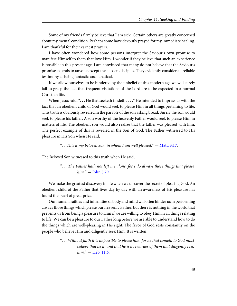Some of my friends firmly believe that I am sick. Certain others are greatly concerned about my mental condition. Perhaps some have devoutly prayed for my immediate healing. I am thankful for their earnest prayers.

I have often wondered how some persons interpret the Saviour's own promise to manifest Himself to them that love Him. I wonder if they believe that such an experience is possible in this present age. I am convinced that many do not believe that the Saviour's promise extends to anyone except the chosen disciples. They evidently consider all reliable testimony as being fantastic and fanatical.

If we allow ourselves to be hindered by the unbelief of this modern age we will surely fail to grasp the fact that frequent visitations of the Lord are to be expected in a normal Christian life.

When Jesus said, "... He that seeketh findeth ...," He intended to impress us with the fact that an obedient child of God would seek to please Him in all things pertaining to life. This truth is obviously revealed in the parable of the son asking bread. Surely the son would seek to please his father. A son worthy of the heavenly Father would seek to please Him in matters of life. The obedient son would also realize that the father was pleased with him. The perfect example of this is revealed in the Son of God. The Father witnessed to His pleasure in His Son when He said,

<span id="page-52-1"></span><span id="page-52-0"></span>". . .This is my beloved Son, in whom I am well pleased." — [Matt. 3:17](http://www.ccel.org/study/Bible:Matt.3.17).

The Beloved Son witnessed to this truth when He said,

". . . The Father hath not left me alone; for I do always those things that please him." — [John 8:29.](http://www.ccel.org/study/Bible:John.8.29)

We make the greatest discovery in life when we discover the secret of pleasing God. An obedient child of the Father that lives day by day with an awareness of His pleasure has found the pearl of great price.

Our human frailties and infirmities of body and mind will often hinder us in performing always those things which please our heavenly Father, but there is nothing in the world that prevents us from being a pleasure to Him if we are willing to obey Him in all things relating to life. We can be a pleasure to our Father long before we are able to understand how to do the things which are well-pleasing in His sight. The favor of God rests constantly on the people who believe Him and diligently seek Him. It is written,

> <span id="page-52-2"></span>". . . Without faith it is impossible to please him: for he that cometh to God must believe that he is, and that he is a rewarder of them that diligently seek  $him. " - Heb. 11:6.$  $him. " - Heb. 11:6.$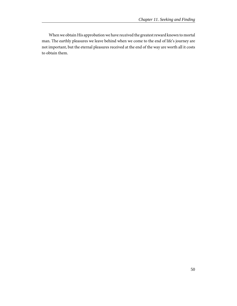When we obtain His approbation we have received the greatest reward known to mortal man. The earthly pleasures we leave behind when we come to the end of life's journey are not important, but the eternal pleasures received at the end of the way are worth all it costs to obtain them.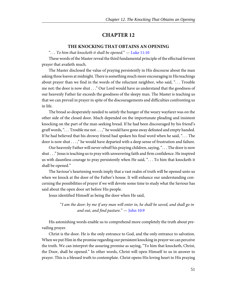#### **THE KNOCKING THAT OBTAINS AN OPENING**

<span id="page-54-0"></span>"... To him that knocketh it shall be opened."  $-$  [Luke 11:10](http://www.ccel.org/study/Bible:Luke.11.10)

<span id="page-54-1"></span>These words of the Master reveal the third fundamental principle of the effectual fervent prayer that availeth much.

The Master disclosed the value of praying persistently in His discourse about the man asking three loaves at midnight. There is something much more encouraging in His teachings about prayer than we find in the words of the reluctant neighbor, who said, "... Trouble me not: the door is now shut . . ." Our Lord would have us understand that the goodness of our heavenly Father far exceeds the goodness of the sleepy man. The Master is teaching us that we can prevail in prayer in spite of the discouragements and difficulties confronting us in life.

The bread so desperately needed to satisfy the hunger of the weary wayfarer was on the other side of the closed door. Much depended on the importunate pleading and insistent knocking on the part of the man seeking bread. If he had been discouraged by his friend's gruff words, ". . . Trouble me not . . . ," he would have gone away defeated and empty handed. If he had believed that his drowsy friend had spoken his final word when he said, ". . . The door is now shut . . . ," he would have departed with a deep sense of frustration and failure.

Our heavenly Father will never rebuff his praying children, saying, ". . . The door is now shut . . ." Jesus is teaching us to pray with unwavering faith and firm confidence. He inspired us with dauntless courage to pray persistently when He said, ". . . To him that knocketh it shall be opened."

The Saviour's heartening words imply that a vast realm of truth will be opened unto us when we knock at the door of the Father's house. It will enhance our understanding concerning the possibilities of prayer if we will devote some time to study what the Saviour has said about the open door set before His people.

Jesus identified Himself as being the door when He said,

<span id="page-54-2"></span>"I am the door: by me if any man will enter in, he shall be saved, and shall go in and out, and find pasture." — [John 10:9](http://www.ccel.org/study/Bible:John.10.9)

His astonishing words enable us to comprehend more completely the truth about prevailing prayer.

Christ is the door. He is the only entrance to God, and the only entrance to salvation. When we put Him in the promise regarding our persistent knocking in prayer we can perceive the truth. We can interpret the assuring promise as saying, "To him that knocketh, Christ, the Door, shall be opened." In other words, Christ will open Himself to us in answer to prayer. This is a blessed truth to contemplate. Christ opens His loving heart to His praying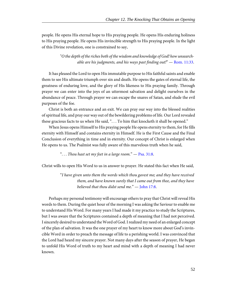people. He opens His eternal hope to His praying people. He opens His enduring holiness to His praying people. He opens His invincible strength to His praying people. In the light of this Divine revelation, one is constrained to say,

> <span id="page-55-2"></span>"O the depth of the riches both of the wisdom and knowledge of God! how unsearchable are his judgments, and his ways past finding out!"  $-$  [Rom. 11:33](http://www.ccel.org/study/Bible:Rom.11.33).

It has pleased the Lord to open His immutable purpose to His faithful saints and enable them to see His ultimate triumph over sin and death. He opens the gates of eternal life, the greatness of enduring love, and the glory of His likeness to His praying family. Through prayer we can enter into the joys of an uttermost salvation and delight ourselves in the abundance of peace. Through prayer we can escape the snares of Satan, and elude the evil purposes of the foe.

Christ is both an entrance and an exit. We can pray our way into the blessed realities of spiritual life, and pray our way out of the bewildering problems of life. Our Lord revealed these gracious facts to us when He said, "... To him that knocketh it shall be opened."

When Jesus opens Himself to His praying people He opens eternity to them, for He fills eternity with Himself and contains eternity in Himself. He is the First Cause and the Final Conclusion of everything in time and in eternity. Our concept of Christ is enlarged when He opens to us. The Psalmist was fully aware of this marvelous truth when he said,

<span id="page-55-0"></span>"... Thou hast set my feet in a large room."  $-$  [Psa. 31:8.](http://www.ccel.org/study/Bible:Ps.31.8)

Christ wills to open His Word to us in answer to prayer. He stated this fact when He said,

<span id="page-55-1"></span>"I have given unto them the words which thou gavest me; and they have received them, and have known surely that I came out from thee, and they have believed that thou didst send me."  $-$  [John 17:8](http://www.ccel.org/study/Bible:John.17.8).

Perhaps my personal testimony will encourage others to pray that Christ will reveal His words to them. During the quiet hour of the morning I was asking the Saviour to enable me to understand His Word. For many years I had made it my practice to study the Scriptures, but I was aware that the Scriptures contained a depth of meaning that I had not perceived. I sincerely desired to understand the Word of God. I realized my need of an enlarged concept of the plan of salvation. It was the one prayer of my heart to know more about God's invincible Word in order to preach the message of life to a perishing world. I was convinced that the Lord had heard my sincere prayer. Not many days after the season of prayer, He began to unfold His Word of truth to my heart and mind with a depth of meaning I had never known.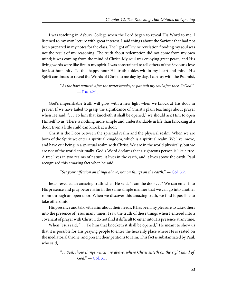I was teaching in Asbury College when the Lord began to reveal His Word to me. I listened to my own lecture with great interest. I said things about the Saviour that had not been prepared in my notes for the class. The light of Divine revelation flooding my soul was not the result of my reasoning. The truth about redemption did not come from my own mind; it was coming from the mind of Christ. My soul was enjoying great peace, and His living words were like fire in my spirit. I was constrained to tell others of the Saviour's love for lost humanity. To this happy hour His truth abides within my heart and mind. His Spirit continues to reveal the Words of Christ to me day by day. I can say with the Psalmist,

> <span id="page-56-0"></span>"As the hart panteth after the water brooks, so panteth my soul after thee, O God." — [Psa. 42:1](http://www.ccel.org/study/Bible:Ps.42.1).

God's imperishable truth will glow with a new light when we knock at His door in prayer. If we have failed to grasp the significance of Christ's plain teachings about prayer when He said, "... To him that knocketh it shall be opened," we should ask Him to open Himself to us. There is nothing more simple and understandable in life than knocking at a door. Even a little child can knock at a door.

Christ is the Door between the spiritual realm and the physical realm. When we are born of the Spirit we enter a spiritual kingdom, which is a spiritual realm. We live, move, and have our being in a spiritual realm with Christ. We are in the world physically, but we are not of the world spiritually. God's Word declares that a righteous person is like a tree. A tree lives in two realms of nature; it lives in the earth, and it lives above the earth. Paul recognized this amazing fact when he said,

#### <span id="page-56-2"></span>"Set your affection on things above, not on things on the earth."  $-$  [Col. 3:2](http://www.ccel.org/study/Bible:Col.3.2).

Jesus revealed an amazing truth when He said, "I am the door . . ." We can enter into His presence and pray before Him in the same simple manner that we can go into another room through an open door. When we discover this amazing truth, we find it possible to take others into

His presence and talk with Him about their needs. It has been my pleasure to take others into the presence of Jesus many times. I saw the truth of these things when I entered into a covenant of prayer with Christ. I do not find it difficult to enter into His presence at anytime.

When Jesus said, "... To him that knocketh it shall be opened," He meant to show us that it is possible for His praying people to enter the heavenly place where He is seated on the mediatorial throne, and present their petitions to Him. This fact is substantiated by Paul, who said,

> <span id="page-56-1"></span>". . .Seek those things which are above, where Christ sitteth on the right hand of  $God." - Col. 3:1.$  $God." - Col. 3:1.$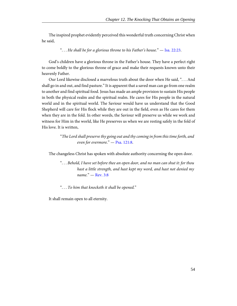The inspired prophet evidently perceived this wonderful truth concerning Christ when he said,

<span id="page-57-1"></span>"... He shall be for a glorious throne to his Father's house."  $-$  [Isa. 22:23](http://www.ccel.org/study/Bible:Isa.22.23).

God's children have a glorious throne in the Father's house. They have a perfect right to come boldly to the glorious throne of grace and make their requests known unto their heavenly Father.

Our Lord likewise disclosed a marvelous truth about the door when He said, ". . . And shall go in and out, and find pasture." It is apparent that a saved man can go from one realm to another and find spiritual food. Jesus has made an ample provision to sustain His people in both the physical realm and the spiritual realm. He cares for His people in the natural world and in the spiritual world. The Saviour would have us understand that the Good Shepherd will care for His flock while they are out in the field, even as He cares for them when they are in the fold. In other words, the Saviour will preserve us while we work and witness for Him in the world, like He preserves us when we are resting safely in the fold of His love. It is written,

> <span id="page-57-0"></span>"The Lord shall preserve thy going out and thy coming in from this time forth, and even for evermore." - [Psa. 121:8](http://www.ccel.org/study/Bible:Ps.121.8).

The changeless Christ has spoken with absolute authority concerning the open door.

<span id="page-57-2"></span>". . . Behold, I have set before thee an open door, and no man can shut it: for thou hast a little strength, and hast kept my word, and hast not denied my name." — [Rev. 3:8](http://www.ccel.org/study/Bible:Rev.3.8)

". . . To him that knocketh it shall be opened."

It shall remain open to all eternity.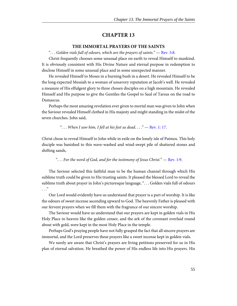#### **THE IMMORTAL PRAYERS OF THE SAINTS**

<span id="page-58-0"></span>"... Golden vials full of odours, which are the prayers of saints."  $-$  [Rev. 5:8.](http://www.ccel.org/study/Bible:Rev.5.8)

<span id="page-58-3"></span>Christ frequently chooses some unusual place on earth to reveal Himself to mankind. It is obviously consistent with His Divine Nature and eternal purpose in redemption to disclose Himself in some unusual place and in some unexpected manner.

He revealed Himself to Moses in a burning bush in a desert. He revealed Himself to be the long expected Messiah to a woman of unsavory reputation at Jacob's well. He revealed a measure of His effulgent glory to three chosen disciples on a high mountain. He revealed Himself and His purpose to give the Gentiles the Gospel to Saul of Tarsus on the road to Damascus.

Perhaps the most amazing revelation ever given to mortal man was given to John when the Saviour revealed Himself clothed in His majesty and might standing in the midst of the seven churches. John said,

<span id="page-58-2"></span><span id="page-58-1"></span>"... When I saw him, I fell at his feet as dead...."  $-$  [Rev. 1: 17.](http://www.ccel.org/study/Bible:Rev.1.17)

Christ chose to reveal Himself to John while in exile on the lonely isle of Patmos. This holy disciple was banished to this wave-washed and wind-swept pile of shattered stones and shifting sands,

"... For the word of God, and for the testimony of Jesus Christ."  $-$  [Rev. 1:9.](http://www.ccel.org/study/Bible:Rev.1.9)

The Saviour selected this faithful man to be the human channel through which His sublime truth could be given to His trusting saints. It pleased the blessed Lord to reveal the sublime truth about prayer in John's picturesque language, ". . . Golden vials full of odours  $\cdot$  . .  $\cdot$ 

Our Lord would evidently have us understand that prayer is a part of worship. It is like the odours of sweet incense ascending upward to God. The heavenly Father is pleased with our fervent prayers when we fill them with the fragrance of our sincere worship.

The Saviour would have us understand that our prayers are kept in golden vials in His Holy Place in heaven like the golden censer, and the ark of the covenant overlaid round about with gold, were kept in the most Holy Place in the temple.

Perhaps God's praying people have not fully grasped the fact that all sincere prayers are immortal, and the Lord preserves these prayers like a sweet incense kept in golden vials.

We surely are aware that Christ's prayers are living petitions preserved for us in His plan of eternal salvation. He breathed the power of His endless life into His prayers. His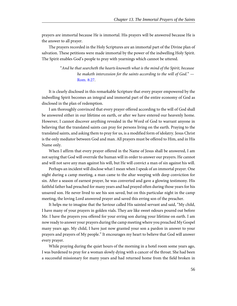prayers are immortal because He is immortal. His prayers will be answered because He is the answer to all prayer.

The prayers recorded in the Holy Scriptures are an immortal part of the Divine plan of salvation. These petitions were made immortal by the power of the indwelling Holy Spirit. The Spirit enables God's people to pray with yearnings which cannot be uttered.

> <span id="page-59-0"></span>"And he that searcheth the hearts knoweth what is the mind of the Spirit, because he maketh intercession for the saints according to the will of God." — [Rom. 8:27](http://www.ccel.org/study/Bible:Rom.8.27).

It is clearly disclosed in this remarkable Scripture that every prayer empowered by the indwelling Spirit becomes an integral and immortal part of the entire economy of God as disclosed in the plan of redemption.

I am thoroughly convinced that every prayer offered according to the will of God shall be answered either in our lifetime on earth, or after we have entered our heavenly home. However, I cannot discover anything revealed in the Word of God to warrant anyone in believing that the translated saints can pray for persons living on the earth. Praying to the translated saints, and asking them to pray for us, is a modified form of idolatry. Jesus Christ is the only mediator between God and man. All prayers must be offered to Him, and in His Name only.

When I affirm that every prayer offered in the Name of Jesus shall be answered, I am not saying that God will overrule the human will in order to answer our prayers. He cannot and will not save any man against his will, but He will convict a man of sin against his will.

Perhaps an incident will disclose what I mean when I speak of an immortal prayer. One night during a camp meeting, a man came to the altar weeping with deep conviction for sin. After a season of earnest prayer, he was converted and gave a glowing testimony. His faithful father had preached for many years and had prayed often during those years for his unsaved son. He never lived to see his son saved, but on this particular night in the camp meeting, the loving Lord answered prayer and saved this erring son of the preacher.

It helps me to imagine that the Saviour called His sainted servant and said, "My child, I have many of your prayers in golden vials. They are like sweet odours poured out before Me. I have the prayers you offered for your erring son during your lifetime on earth. I am now ready to answer your prayers during the camp meeting where you preached My Gospel many years ago. My child, I have just now granted your son a pardon in answer to your prayers and prayers of My people." It encourages my heart to believe that God will answer every prayer.

While praying during the quiet hours of the morning in a hotel room some years ago, I was burdened to pray for a woman slowly dying with a cancer of the throat. She had been a successful missionary for many years and had returned home from the field broken in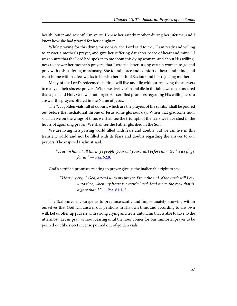health, bitter and resentful in spirit. I knew her saintly mother during her lifetime, and I knew how she had prayed for her daughter.

While praying for this dying missionary, the Lord said to me, "I am ready and willing to answer a mother's prayer, and give her suffering daughter peace of heart and mind." I was so sure that the Lord had spoken to me about this dying woman, and about His willingness to answer her mother's prayers, that I wrote a letter urging certain women to go and pray with this suffering missionary. She found peace and comfort of heart and mind, and went home within a few weeks to be with her faithful Saviour and her rejoicing mother.

Many of the Lord's redeemed children will live and die without receiving the answers to many of their sincere prayers. When we live by faith and die in the faith, we can be assured that a Just and Holy God will not forget His certified promises regarding His willingness to answer the prayers offered in the Name of Jesus.

The ". . . golden vials full of odours, which are the prayers of the saints," shall be poured out before the mediatorial throne of Jesus some glorious day. When that gladsome hour shall arrive on the wings of time, we shall see the triumph of the tears we have shed in the hours of agonizing prayer. We shall see the Father glorified in the Son.

We are living in a passing world filled with fears and doubts; but we can live in this transient world and not be filled with its fears and doubts regarding the answer to our prayers. The inspired Psalmist said,

<span id="page-60-1"></span>"Trust in him at all times; ye people, pour out your heart before him: God is a refuge for us." - [Psa. 62:8](http://www.ccel.org/study/Bible:Ps.62.8).

God's certified promises relating to prayer give us the inalienable right to say,

<span id="page-60-0"></span>"Hear my cry, O God; attend unto my prayer. From the end of the earth will I cry unto thee, when my heart is overwhelmed: lead me to the rock that is higher than  $I. "$  - [Psa. 61:1, 2](http://www.ccel.org/study/Bible:Ps.61.1 Bible:Ps.61.2).

The Scriptures encourage us to pray incessantly and importunately knowing within ourselves that God will answer our petitions in His own time, and according to His own will. Let us offer up prayers with strong crying and tears unto Him that is able to save to the uttermost. Let us pray without ceasing until the hour comes for our immortal prayer to be poured out like sweet incense poured out of golden vials.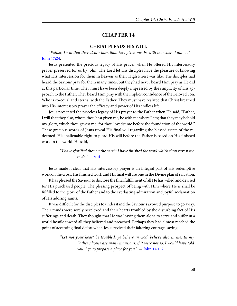#### **CHRIST PLEADS HIS WILL**

<span id="page-61-3"></span><span id="page-61-0"></span>"Father, I will that they also, whom thou hast given me, be with me where I am  $\dots$ " [John 17:24](http://www.ccel.org/study/Bible:John.17.24).

Jesus presented the precious legacy of His prayer when He offered His intercessory prayer preserved for us by John. The Lord let His disciples have the pleasure of knowing what His intercession for them in heaven as their High Priest was like. The disciples had heard the Saviour pray for them many times, but they had never heard Him pray as He did at this particular time. They must have been deeply impressed by the simplicity of His approach to the Father. They heard Him pray with the implicit confidence of the Beloved Son, Who is co-equal and eternal with the Father. They must have realized that Christ breathed into His intercessory prayer the efficacy and power of His endless life.

Jesus presented the priceless legacy of His prayer to the Father when He said, "Father, I will that they also, whom thou hast given me, be with me where I am; that they may behold my glory, which thou gavest me: for thou lovedst me before the foundation of the world." These gracious words of Jesus reveal His final will regarding the blessed estate of the redeemed. His inalienable right to plead His will before the Father is based on His finished work in the world. He said,

> <span id="page-61-2"></span>"I have glorified thee on the earth: I have finished the work which thou gavest me to do."  $-$  [v. 4.](http://www.ccel.org/study/Bible:John.17.4)

Jesus made it clear that His intercessory prayer is an integral part of His redemptive work on the cross. His finished work and His final will are one in the Divine plan of salvation.

It has pleased the Saviour to disclose the final fulfillment of all He has willed and devised for His purchased people. The pleasing prospect of being with Him where He is shall be fulfilled to the glory of the Father and to the everlasting admiration and joyful acclamation of His adoring saints.

It was difficult for the disciples to understand the Saviour's avowed purpose to go away. Their minds were sorely perplexed and their hearts troubled by the disturbing fact of His sufferings and death. They thought that He was leaving them alone to serve and suffer in a world hostile toward all they believed and preached. Perhaps they had almost reached the point of accepting final defeat when Jesus revived their faltering courage, saying,

> <span id="page-61-1"></span>"Let not your heart be troubled: ye believe in God, believe also in me. In my Father's house are many mansions: if it were not so, I would have told you. I go to prepare a place for you."  $-$  [John 14:1, 2.](http://www.ccel.org/study/Bible:John.14.1 Bible:John.14.2)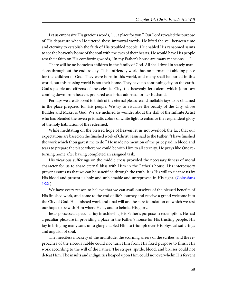Let us emphasize His gracious words, ". . . a place for you." Our Lord revealed the purpose of His departure when He uttered these immortal words. He lifted the veil between time and eternity to establish the faith of His troubled people. He enabled His ransomed saints to see the heavenly home of the soul with the eyes of their hearts. He would have His people rest their faith on His comforting words, "In my Father's house are many mansions . . ."

There will be no homeless children in the family of God. All shall dwell in stately mansions throughout the endless day. This unfriendly world has no permanent abiding place for the children of God. They were born in this world, and many shall be buried in this world, but this passing world is not their home. They have no continuing city on the earth. God's people are citizens of the celestial City, the heavenly Jerusalem, which John saw coming down from heaven, prepared as a bride adorned for her husband.

Perhaps we are disposed to think of the eternal pleasure and ineffable joys to be obtained in the place prepared for His people. We try to visualize the beauty of the City whose Builder and Maker is God. We are inclined to wonder about the skill of the Infinite Artist who has blended the seven prismatic colors of white light to enhance the resplendent glory of the holy habitation of the redeemed.

While meditating on the blessed hope of heaven let us not overlook the fact that our expectations are based on the finished work of Christ. Jesus said to the Father, "I have finished the work which thou gavest me to do." He made no mention of the price paid in blood and tears to prepare the place where we could be with Him to all eternity. He prays like One returning home after having completed an assigned task.

<span id="page-62-0"></span>His vicarious sufferings on the middle cross provided the necessary fitness of moral character for us to share eternal bliss with Him in the Father's house. His intercessory prayer assures us that we can be sanctified through the truth. It is His will to cleanse us by His blood and present us holy and unblamable and unreproved in His sight. ([Colossians](http://www.ccel.org/study/Bible:Col.1.22) [1:22](http://www.ccel.org/study/Bible:Col.1.22).)

We have every reason to believe that we can avail ourselves of the blessed benefits of His finished work, and come to the end of life's journey and receive a grand welcome into the City of God. His finished work and final will are the sure foundation on which we rest our hope to be with Him where He is, and to behold His glory.

Jesus possessed a peculiar joy in achieving His Father's purpose in redemption. He had a peculiar pleasure in providing a place in the Father's house for His trusting people. His joy in bringing many sons unto glory enabled Him to triumph over His physical sufferings and anguish of soul.

The merciless mockery of the multitude, the scorning sneers of the scribes, and the reproaches of the riotous rabble could not turn Him from His fixed purpose to finish His work according to the will of the Father. The stripes, spittle, blood, and bruises could not defeat Him. The insults and indignities heaped upon Him could not overwhelm His fervent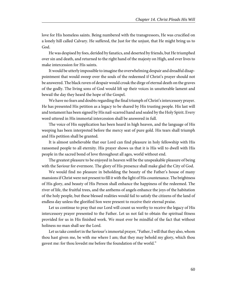love for His homeless saints. Being numbered with the transgressors, He was crucified on a lonely hill called Calvary. He suffered, the Just for the unjust, that He might bring us to God.

He was despised by foes, derided by fanatics, and deserted by friends, but He triumphed over sin and death, and returned to the right hand of the majesty on High, and ever lives to make intercession for His saints.

It would be utterly impossible to imagine the overwhelming despair and dreadful disappointment that would sweep over the souls of the redeemed if Christ's prayer should not be answered. The black raven of despair would croak the dirge of eternal death on the graves of the godly. The living sons of God would lift up their voices in unutterable lament and bewail the day they heard the hope of the Gospel.

We have no fears and doubts regarding the final triumph of Christ's intercessory prayer. He has presented His petition as a legacy to be shared by His trusting people. His last will and testament has been signed by His nail-scarred hand and sealed by the Holy Spirit. Every word uttered in His immortal intercession shall be answered in full.

The voice of His supplication has been heard in high heaven, and the language of His weeping has been interpreted before the mercy seat of pure gold. His tears shall triumph and His petition shall be granted.

It is almost unbelievable that our Lord can find pleasure in holy fellowship with His ransomed people to all eternity. His prayer shows us that it is His will to dwell with His people in the sacred bond of love throughout all ages, world without end.

The greatest pleasure to be enjoyed in heaven will be the unspeakable pleasure of being with the Saviour for evermore. The glory of His presence shall make glad the City of God.

We would find no pleasure in beholding the beauty of the Father's house of many mansions if Christ were not present to fill it with the light of His countenance. The brightness of His glory, and beauty of His Person shall enhance the happiness of the redeemed. The river of life, the fruitful trees, and the anthems of angels enhance the joys of the habitation of the holy people, but these blessed realities would fail to satisfy the citizens of the land of endless day unless the glorified Son were present to receive their eternal praise.

Let us continue to pray that our Lord will count us worthy to receive the legacy of His intercessory prayer presented to the Father. Let us not fail to obtain the spiritual fitness provided for us in His finished work. We must ever be mindful of the fact that without holiness no man shall see the Lord.

Let us take comfort in the Saviour's immortal prayer, "Father, I will that they also, whom thou hast given me, be with me where I am; that they may behold my glory, which thou gavest me: for thou lovedst me before the foundation of the world."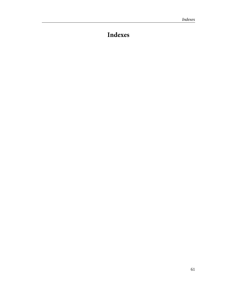# <span id="page-64-0"></span>**Indexes**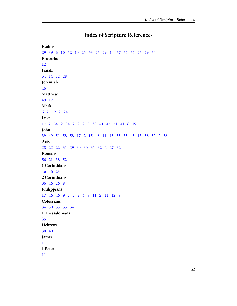# **Index of Scripture References**

```
Psalms
29   39   6   10   52   10   25   53   25   29   14   57   57   57   25   29   54
Proverbs
12
Isaiah
54   14   12   28
Jeremiah
46
Matthew
49   17
Mark
6   2   19   2   24
Luke
17   2   34   2   34   2   2   2   2   38   41   45   51   41   8   19
John
39   49   51   58   58   17   2   15   48   11   15   35   35   45   13   58   52   2   58
Acts
28   22   22   31   29   30   30   31   32   2   27   32
Romans
56   21   38   52
1 Corinthians
46   46   23
2 Corinthians
36   46   26   8
Philippians
17   46   46   9   2   2   2   4   8   11   2   11   12   8
Colossians
34   59   53   53   34
1 Thessalonians
35
Hebrews
30   49
James
1
1 Peter
11
```